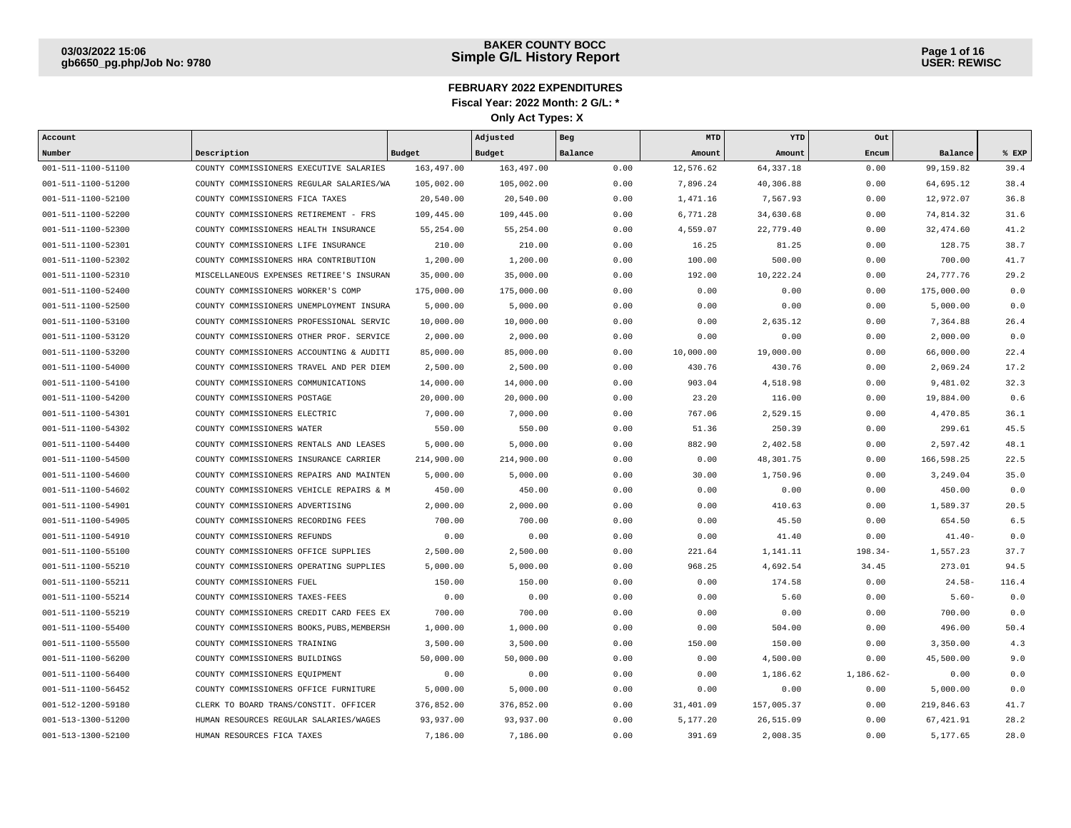| Account            |                                            |            | Adjusted   | Beg     | MTD       | YTD        | Out       |            |       |
|--------------------|--------------------------------------------|------------|------------|---------|-----------|------------|-----------|------------|-------|
| Number             | Description                                | Budget     | Budget     | Balance | Amount    | Amount     | Encum     | Balance    | % EXP |
| 001-511-1100-51100 | COUNTY COMMISSIONERS EXECUTIVE SALARIES    | 163,497.00 | 163,497.00 | 0.00    | 12,576.62 | 64, 337.18 | 0.00      | 99,159.82  | 39.4  |
| 001-511-1100-51200 | COUNTY COMMISSIONERS REGULAR SALARIES/WA   | 105,002.00 | 105,002.00 | 0.00    | 7,896.24  | 40,306.88  | 0.00      | 64,695.12  | 38.4  |
| 001-511-1100-52100 | COUNTY COMMISSIONERS FICA TAXES            | 20,540.00  | 20,540.00  | 0.00    | 1,471.16  | 7,567.93   | 0.00      | 12,972.07  | 36.8  |
| 001-511-1100-52200 | COUNTY COMMISSIONERS RETIREMENT - FRS      | 109,445.00 | 109,445.00 | 0.00    | 6,771.28  | 34,630.68  | 0.00      | 74,814.32  | 31.6  |
| 001-511-1100-52300 | COUNTY COMMISSIONERS HEALTH INSURANCE      | 55,254.00  | 55,254.00  | 0.00    | 4,559.07  | 22,779.40  | 0.00      | 32,474.60  | 41.2  |
| 001-511-1100-52301 | COUNTY COMMISSIONERS LIFE INSURANCE        | 210.00     | 210.00     | 0.00    | 16.25     | 81.25      | 0.00      | 128.75     | 38.7  |
| 001-511-1100-52302 | COUNTY COMMISSIONERS HRA CONTRIBUTION      | 1,200.00   | 1,200.00   | 0.00    | 100.00    | 500.00     | 0.00      | 700.00     | 41.7  |
| 001-511-1100-52310 | MISCELLANEOUS EXPENSES RETIREE'S INSURAN   | 35,000.00  | 35,000.00  | 0.00    | 192.00    | 10,222.24  | 0.00      | 24,777.76  | 29.2  |
| 001-511-1100-52400 | COUNTY COMMISSIONERS WORKER'S COMP         | 175,000.00 | 175,000.00 | 0.00    | 0.00      | 0.00       | 0.00      | 175,000.00 | 0.0   |
| 001-511-1100-52500 | COUNTY COMMISSIONERS UNEMPLOYMENT INSURA   | 5,000.00   | 5,000.00   | 0.00    | 0.00      | 0.00       | 0.00      | 5,000.00   | 0.0   |
| 001-511-1100-53100 | COUNTY COMMISSIONERS PROFESSIONAL SERVIC   | 10,000.00  | 10,000.00  | 0.00    | 0.00      | 2,635.12   | 0.00      | 7,364.88   | 26.4  |
| 001-511-1100-53120 | COUNTY COMMISSIONERS OTHER PROF. SERVICE   | 2,000.00   | 2,000.00   | 0.00    | 0.00      | 0.00       | 0.00      | 2,000.00   | 0.0   |
| 001-511-1100-53200 | COUNTY COMMISSIONERS ACCOUNTING & AUDITI   | 85,000.00  | 85,000.00  | 0.00    | 10,000.00 | 19,000.00  | 0.00      | 66,000.00  | 22.4  |
| 001-511-1100-54000 | COUNTY COMMISSIONERS TRAVEL AND PER DIEM   | 2,500.00   | 2,500.00   | 0.00    | 430.76    | 430.76     | 0.00      | 2,069.24   | 17.2  |
| 001-511-1100-54100 | COUNTY COMMISSIONERS COMMUNICATIONS        | 14,000.00  | 14,000.00  | 0.00    | 903.04    | 4,518.98   | 0.00      | 9,481.02   | 32.3  |
| 001-511-1100-54200 | COUNTY COMMISSIONERS POSTAGE               | 20,000.00  | 20,000.00  | 0.00    | 23.20     | 116.00     | 0.00      | 19,884.00  | 0.6   |
| 001-511-1100-54301 | COUNTY COMMISSIONERS ELECTRIC              | 7,000.00   | 7,000.00   | 0.00    | 767.06    | 2,529.15   | 0.00      | 4,470.85   | 36.1  |
| 001-511-1100-54302 | COUNTY COMMISSIONERS WATER                 | 550.00     | 550.00     | 0.00    | 51.36     | 250.39     | 0.00      | 299.61     | 45.5  |
| 001-511-1100-54400 | COUNTY COMMISSIONERS RENTALS AND LEASES    | 5,000.00   | 5,000.00   | 0.00    | 882.90    | 2,402.58   | 0.00      | 2,597.42   | 48.1  |
| 001-511-1100-54500 | COUNTY COMMISSIONERS INSURANCE CARRIER     | 214,900.00 | 214,900.00 | 0.00    | 0.00      | 48,301.75  | 0.00      | 166,598.25 | 22.5  |
| 001-511-1100-54600 | COUNTY COMMISSIONERS REPAIRS AND MAINTEN   | 5,000.00   | 5,000.00   | 0.00    | 30.00     | 1,750.96   | 0.00      | 3,249.04   | 35.0  |
| 001-511-1100-54602 | COUNTY COMMISSIONERS VEHICLE REPAIRS & M   | 450.00     | 450.00     | 0.00    | 0.00      | 0.00       | 0.00      | 450.00     | 0.0   |
| 001-511-1100-54901 | COUNTY COMMISSIONERS ADVERTISING           | 2,000.00   | 2,000.00   | 0.00    | 0.00      | 410.63     | 0.00      | 1,589.37   | 20.5  |
| 001-511-1100-54905 | COUNTY COMMISSIONERS RECORDING FEES        | 700.00     | 700.00     | 0.00    | 0.00      | 45.50      | 0.00      | 654.50     | 6.5   |
| 001-511-1100-54910 | COUNTY COMMISSIONERS REFUNDS               | 0.00       | 0.00       | 0.00    | 0.00      | 41.40      | 0.00      | $41.40 -$  | 0.0   |
| 001-511-1100-55100 | COUNTY COMMISSIONERS OFFICE SUPPLIES       | 2,500.00   | 2,500.00   | 0.00    | 221.64    | 1,141.11   | $198.34-$ | 1,557.23   | 37.7  |
| 001-511-1100-55210 | COUNTY COMMISSIONERS OPERATING SUPPLIES    | 5,000.00   | 5,000.00   | 0.00    | 968.25    | 4,692.54   | 34.45     | 273.01     | 94.5  |
| 001-511-1100-55211 | COUNTY COMMISSIONERS FUEL                  | 150.00     | 150.00     | 0.00    | 0.00      | 174.58     | 0.00      | $24.58-$   | 116.4 |
| 001-511-1100-55214 | COUNTY COMMISSIONERS TAXES-FEES            | 0.00       | 0.00       | 0.00    | 0.00      | 5.60       | 0.00      | $5.60 -$   | 0.0   |
| 001-511-1100-55219 | COUNTY COMMISSIONERS CREDIT CARD FEES EX   | 700.00     | 700.00     | 0.00    | 0.00      | 0.00       | 0.00      | 700.00     | 0.0   |
| 001-511-1100-55400 | COUNTY COMMISSIONERS BOOKS, PUBS, MEMBERSH | 1,000.00   | 1,000.00   | 0.00    | 0.00      | 504.00     | 0.00      | 496.00     | 50.4  |
| 001-511-1100-55500 | COUNTY COMMISSIONERS TRAINING              | 3,500.00   | 3,500.00   | 0.00    | 150.00    | 150.00     | 0.00      | 3,350.00   | 4.3   |
| 001-511-1100-56200 | COUNTY COMMISSIONERS BUILDINGS             | 50,000.00  | 50,000.00  | 0.00    | 0.00      | 4,500.00   | 0.00      | 45,500.00  | 9.0   |
| 001-511-1100-56400 | COUNTY COMMISSIONERS EQUIPMENT             | 0.00       | 0.00       | 0.00    | 0.00      | 1,186.62   | 1,186.62- | 0.00       | 0.0   |
| 001-511-1100-56452 | COUNTY COMMISSIONERS OFFICE FURNITURE      | 5,000.00   | 5,000.00   | 0.00    | 0.00      | 0.00       | 0.00      | 5,000.00   | 0.0   |
| 001-512-1200-59180 | CLERK TO BOARD TRANS/CONSTIT. OFFICER      | 376,852.00 | 376,852.00 | 0.00    | 31,401.09 | 157,005.37 | 0.00      | 219,846.63 | 41.7  |
| 001-513-1300-51200 | HUMAN RESOURCES REGULAR SALARIES/WAGES     | 93,937.00  | 93,937.00  | 0.00    | 5,177.20  | 26,515.09  | 0.00      | 67, 421.91 | 28.2  |
| 001-513-1300-52100 | HUMAN RESOURCES FICA TAXES                 | 7,186.00   | 7,186.00   | 0.00    | 391.69    | 2,008.35   | 0.00      | 5,177.65   | 28.0  |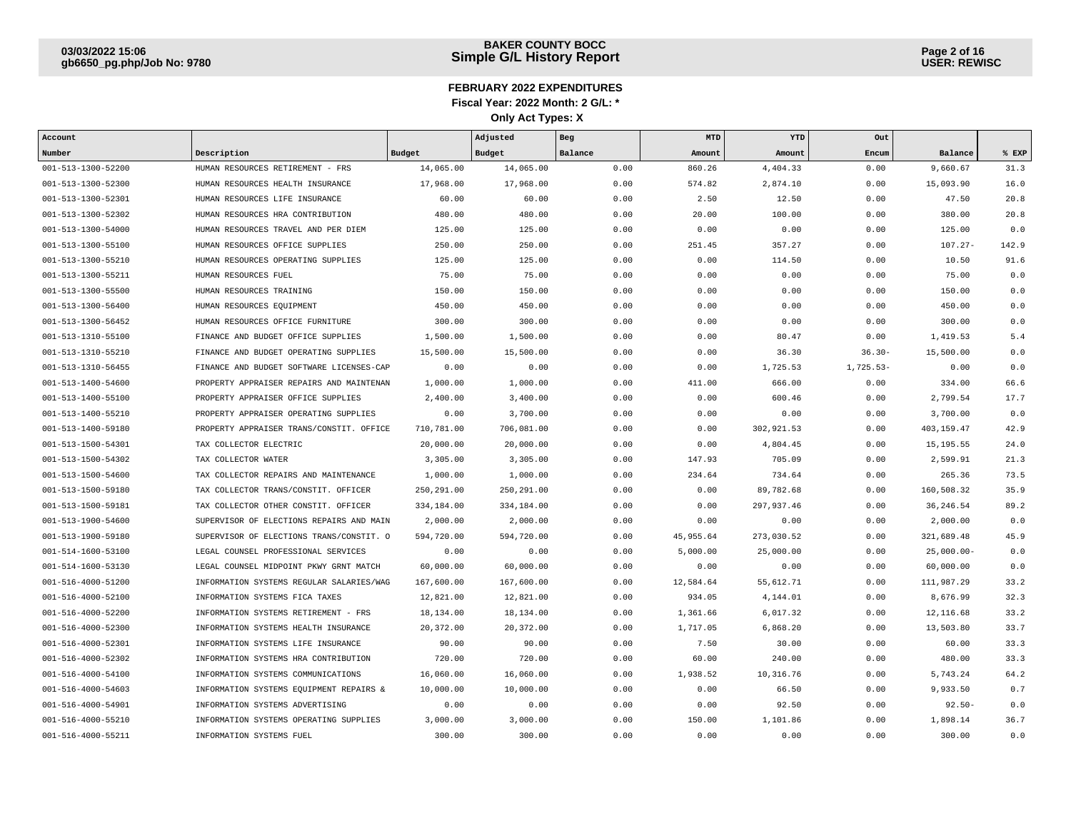| Account                    |                                          |             | Adjusted    | Beg     | MTD       | YTD        | Out         |               |         |
|----------------------------|------------------------------------------|-------------|-------------|---------|-----------|------------|-------------|---------------|---------|
| Number                     | Description                              | Budget      | Budget      | Balance | Amount    | Amount     | Encum       | Balance       | $$$ EXP |
| 001-513-1300-52200         | HUMAN RESOURCES RETIREMENT - FRS         | 14,065,00   | 14,065.00   | 0.00    | 860.26    | 4,404.33   | 0.00        | 9,660.67      | 31.3    |
| 001-513-1300-52300         | HUMAN RESOURCES HEALTH INSURANCE         | 17,968.00   | 17,968.00   | 0.00    | 574.82    | 2,874.10   | 0.00        | 15,093.90     | 16.0    |
| 001-513-1300-52301         | HUMAN RESOURCES LIFE INSURANCE           | 60.00       | 60.00       | 0.00    | 2.50      | 12.50      | 0.00        | 47.50         | 20.8    |
| 001-513-1300-52302         | HUMAN RESOURCES HRA CONTRIBUTION         | 480.00      | 480.00      | 0.00    | 20.00     | 100.00     | 0.00        | 380.00        | 20.8    |
| 001-513-1300-54000         | HUMAN RESOURCES TRAVEL AND PER DIEM      | 125.00      | 125.00      | 0.00    | 0.00      | 0.00       | 0.00        | 125.00        | 0.0     |
| 001-513-1300-55100         | HUMAN RESOURCES OFFICE SUPPLIES          | 250.00      | 250.00      | 0.00    | 251.45    | 357.27     | 0.00        | $107.27 -$    | 142.9   |
| 001-513-1300-55210         | HUMAN RESOURCES OPERATING SUPPLIES       | 125.00      | 125.00      | 0.00    | 0.00      | 114.50     | 0.00        | 10.50         | 91.6    |
| 001-513-1300-55211         | HUMAN RESOURCES FUEL                     | 75.00       | 75.00       | 0.00    | 0.00      | 0.00       | 0.00        | 75.00         | 0.0     |
| 001-513-1300-55500         | HUMAN RESOURCES TRAINING                 | 150.00      | 150.00      | 0.00    | 0.00      | 0.00       | 0.00        | 150.00        | 0.0     |
| 001-513-1300-56400         | HUMAN RESOURCES EQUIPMENT                | 450.00      | 450.00      | 0.00    | 0.00      | 0.00       | 0.00        | 450.00        | 0.0     |
| 001-513-1300-56452         | HUMAN RESOURCES OFFICE FURNITURE         | 300.00      | 300.00      | 0.00    | 0.00      | 0.00       | 0.00        | 300.00        | 0.0     |
| 001-513-1310-55100         | FINANCE AND BUDGET OFFICE SUPPLIES       | 1,500.00    | 1,500.00    | 0.00    | 0.00      | 80.47      | 0.00        | 1,419.53      | 5.4     |
| 001-513-1310-55210         | FINANCE AND BUDGET OPERATING SUPPLIES    | 15,500.00   | 15,500.00   | 0.00    | 0.00      | 36.30      | $36.30 -$   | 15,500.00     | 0.0     |
| 001-513-1310-56455         | FINANCE AND BUDGET SOFTWARE LICENSES-CAP | 0.00        | 0.00        | 0.00    | 0.00      | 1,725.53   | $1,725.53-$ | 0.00          | 0.0     |
| 001-513-1400-54600         | PROPERTY APPRAISER REPAIRS AND MAINTENAN | 1,000.00    | 1,000.00    | 0.00    | 411.00    | 666.00     | 0.00        | 334.00        | 66.6    |
| 001-513-1400-55100         | PROPERTY APPRAISER OFFICE SUPPLIES       | 2,400.00    | 3,400.00    | 0.00    | 0.00      | 600.46     | 0.00        | 2,799.54      | 17.7    |
| 001-513-1400-55210         | PROPERTY APPRAISER OPERATING SUPPLIES    | 0.00        | 3,700.00    | 0.00    | 0.00      | 0.00       | 0.00        | 3,700.00      | 0.0     |
| 001-513-1400-59180         | PROPERTY APPRAISER TRANS/CONSTIT. OFFICE | 710,781.00  | 706,081.00  | 0.00    | 0.00      | 302,921.53 | 0.00        | 403,159.47    | 42.9    |
| 001-513-1500-54301         | TAX COLLECTOR ELECTRIC                   | 20,000.00   | 20,000.00   | 0.00    | 0.00      | 4,804.45   | 0.00        | 15, 195.55    | 24.0    |
| 001-513-1500-54302         | TAX COLLECTOR WATER                      | 3,305.00    | 3,305.00    | 0.00    | 147.93    | 705.09     | 0.00        | 2,599.91      | 21.3    |
| 001-513-1500-54600         | TAX COLLECTOR REPAIRS AND MAINTENANCE    | 1,000.00    | 1,000.00    | 0.00    | 234.64    | 734.64     | 0.00        | 265.36        | 73.5    |
| 001-513-1500-59180         | TAX COLLECTOR TRANS/CONSTIT. OFFICER     | 250, 291.00 | 250, 291.00 | 0.00    | 0.00      | 89,782.68  | 0.00        | 160,508.32    | 35.9    |
| 001-513-1500-59181         | TAX COLLECTOR OTHER CONSTIT. OFFICER     | 334,184.00  | 334,184.00  | 0.00    | 0.00      | 297,937.46 | 0.00        | 36, 246.54    | 89.2    |
| 001-513-1900-54600         | SUPERVISOR OF ELECTIONS REPAIRS AND MAIN | 2,000.00    | 2,000.00    | 0.00    | 0.00      | 0.00       | 0.00        | 2,000.00      | 0.0     |
| 001-513-1900-59180         | SUPERVISOR OF ELECTIONS TRANS/CONSTIT. O | 594,720.00  | 594,720.00  | 0.00    | 45,955.64 | 273,030.52 | 0.00        | 321,689.48    | 45.9    |
| $001 - 514 - 1600 - 53100$ | LEGAL COUNSEL PROFESSIONAL SERVICES      | 0.00        | 0.00        | 0.00    | 5.000.00  | 25,000.00  | 0.00        | $25.000.00 -$ | 0.0     |
| 001-514-1600-53130         | LEGAL COUNSEL MIDPOINT PKWY GRNT MATCH   | 60,000.00   | 60,000.00   | 0.00    | 0.00      | 0.00       | 0.00        | 60,000.00     | 0.0     |
| 001-516-4000-51200         | INFORMATION SYSTEMS REGULAR SALARIES/WAG | 167,600.00  | 167,600.00  | 0.00    | 12,584.64 | 55,612.71  | 0.00        | 111,987.29    | 33.2    |
| 001-516-4000-52100         | INFORMATION SYSTEMS FICA TAXES           | 12,821.00   | 12,821.00   | 0.00    | 934.05    | 4,144.01   | 0.00        | 8,676.99      | 32.3    |
| 001-516-4000-52200         | INFORMATION SYSTEMS RETIREMENT - FRS     | 18,134.00   | 18,134.00   | 0.00    | 1,361.66  | 6,017.32   | 0.00        | 12,116.68     | 33.2    |
| 001-516-4000-52300         | INFORMATION SYSTEMS HEALTH INSURANCE     | 20,372.00   | 20,372.00   | 0.00    | 1,717.05  | 6,868.20   | 0.00        | 13,503.80     | 33.7    |
| 001-516-4000-52301         | INFORMATION SYSTEMS LIFE INSURANCE       | 90.00       | 90.00       | 0.00    | 7.50      | 30.00      | 0.00        | 60.00         | 33.3    |
| 001-516-4000-52302         | INFORMATION SYSTEMS HRA CONTRIBUTION     | 720.00      | 720.00      | 0.00    | 60.00     | 240.00     | 0.00        | 480.00        | 33.3    |
| 001-516-4000-54100         | INFORMATION SYSTEMS COMMUNICATIONS       | 16,060.00   | 16,060.00   | 0.00    | 1,938.52  | 10,316.76  | 0.00        | 5,743.24      | 64.2    |
| 001-516-4000-54603         | INFORMATION SYSTEMS EQUIPMENT REPAIRS &  | 10,000.00   | 10,000.00   | 0.00    | 0.00      | 66.50      | 0.00        | 9,933.50      | 0.7     |
| 001-516-4000-54901         | INFORMATION SYSTEMS ADVERTISING          | 0.00        | 0.00        | 0.00    | 0.00      | 92.50      | 0.00        | $92.50 -$     | 0.0     |
| 001-516-4000-55210         | INFORMATION SYSTEMS OPERATING SUPPLIES   | 3,000.00    | 3,000.00    | 0.00    | 150.00    | 1,101.86   | 0.00        | 1,898.14      | 36.7    |
| 001-516-4000-55211         | INFORMATION SYSTEMS FUEL                 | 300.00      | 300.00      | 0.00    | 0.00      | 0.00       | 0.00        | 300.00        | 0.0     |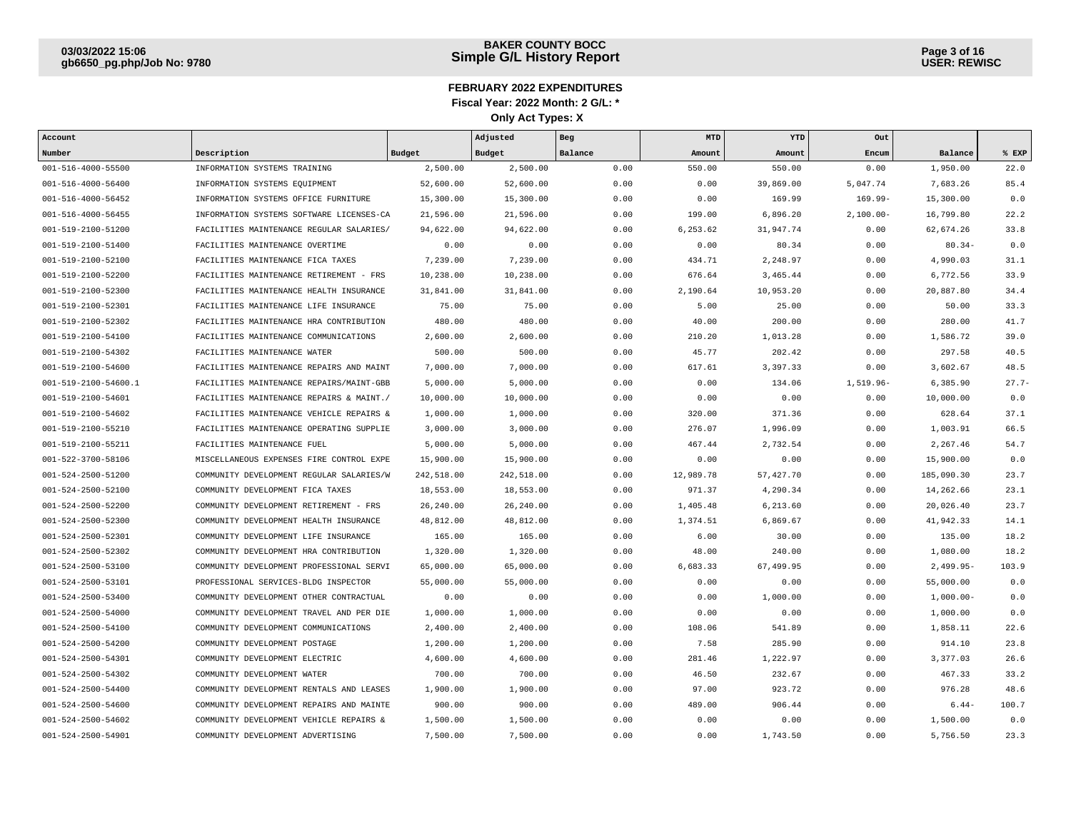| Account                    |                                          |            | Adjusted   | Beg     | MTD       | YTD        | Out          |             |         |
|----------------------------|------------------------------------------|------------|------------|---------|-----------|------------|--------------|-------------|---------|
| Number                     | Description                              | Budget     | Budget     | Balance | Amount    | Amount     | Encum        | Balance     | % EXP   |
| 001-516-4000-55500         | INFORMATION SYSTEMS TRAINING             | 2,500.00   | 2,500.00   | 0.00    | 550.00    | 550.00     | 0.00         | 1,950.00    | 22.0    |
| $001 - 516 - 4000 - 56400$ | INFORMATION SYSTEMS EQUIPMENT            | 52,600.00  | 52,600.00  | 0.00    | 0.00      | 39,869.00  | 5,047.74     | 7,683.26    | 85.4    |
| $001 - 516 - 4000 - 56452$ | INFORMATION SYSTEMS OFFICE FURNITURE     | 15,300.00  | 15,300.00  | 0.00    | 0.00      | 169.99     | $169.99 -$   | 15,300.00   | 0.0     |
| 001-516-4000-56455         | INFORMATION SYSTEMS SOFTWARE LICENSES-CA | 21,596.00  | 21,596.00  | 0.00    | 199.00    | 6,896.20   | $2,100.00 -$ | 16,799.80   | 22.2    |
| 001-519-2100-51200         | FACILITIES MAINTENANCE REGULAR SALARIES/ | 94,622.00  | 94,622.00  | 0.00    | 6,253.62  | 31,947.74  | 0.00         | 62,674.26   | 33.8    |
| 001-519-2100-51400         | FACILITIES MAINTENANCE OVERTIME          | 0.00       | 0.00       | 0.00    | 0.00      | 80.34      | 0.00         | $80.34-$    | 0.0     |
| 001-519-2100-52100         | FACILITIES MAINTENANCE FICA TAXES        | 7,239.00   | 7,239.00   | 0.00    | 434.71    | 2,248.97   | 0.00         | 4,990.03    | 31.1    |
| 001-519-2100-52200         | FACILITIES MAINTENANCE RETIREMENT - FRS  | 10,238.00  | 10,238.00  | 0.00    | 676.64    | 3,465.44   | 0.00         | 6,772.56    | 33.9    |
| 001-519-2100-52300         | FACILITIES MAINTENANCE HEALTH INSURANCE  | 31,841.00  | 31,841.00  | 0.00    | 2,190.64  | 10,953.20  | 0.00         | 20,887.80   | 34.4    |
| 001-519-2100-52301         | FACILITIES MAINTENANCE LIFE INSURANCE    | 75.00      | 75.00      | 0.00    | 5.00      | 25.00      | 0.00         | 50.00       | 33.3    |
| 001-519-2100-52302         | FACILITIES MAINTENANCE HRA CONTRIBUTION  | 480.00     | 480.00     | 0.00    | 40.00     | 200.00     | 0.00         | 280.00      | 41.7    |
| 001-519-2100-54100         | FACILITIES MAINTENANCE COMMUNICATIONS    | 2,600.00   | 2,600.00   | 0.00    | 210.20    | 1,013.28   | 0.00         | 1,586.72    | 39.0    |
| 001-519-2100-54302         | FACILITIES MAINTENANCE WATER             | 500.00     | 500.00     | 0.00    | 45.77     | 202.42     | 0.00         | 297.58      | 40.5    |
| 001-519-2100-54600         | FACILITIES MAINTENANCE REPAIRS AND MAINT | 7,000.00   | 7,000.00   | 0.00    | 617.61    | 3,397.33   | 0.00         | 3,602.67    | 48.5    |
| 001-519-2100-54600.1       | FACILITIES MAINTENANCE REPAIRS/MAINT-GBB | 5,000.00   | 5,000.00   | 0.00    | 0.00      | 134.06     | 1,519.96-    | 6,385.90    | $27.7-$ |
| 001-519-2100-54601         | FACILITIES MAINTENANCE REPAIRS & MAINT./ | 10,000.00  | 10,000.00  | 0.00    | 0.00      | 0.00       | 0.00         | 10,000.00   | 0.0     |
| 001-519-2100-54602         | FACILITIES MAINTENANCE VEHICLE REPAIRS & | 1,000.00   | 1,000.00   | 0.00    | 320.00    | 371.36     | 0.00         | 628.64      | 37.1    |
| 001-519-2100-55210         | FACILITIES MAINTENANCE OPERATING SUPPLIE | 3,000.00   | 3,000.00   | 0.00    | 276.07    | 1,996.09   | 0.00         | 1,003.91    | 66.5    |
| 001-519-2100-55211         | FACILITIES MAINTENANCE FUEL              | 5,000.00   | 5,000.00   | 0.00    | 467.44    | 2,732.54   | 0.00         | 2,267.46    | 54.7    |
| 001-522-3700-58106         | MISCELLANEOUS EXPENSES FIRE CONTROL EXPE | 15,900.00  | 15,900.00  | 0.00    | 0.00      | 0.00       | 0.00         | 15,900.00   | 0.0     |
| 001-524-2500-51200         | COMMUNITY DEVELOPMENT REGULAR SALARIES/W | 242,518.00 | 242,518.00 | 0.00    | 12,989.78 | 57, 427.70 | 0.00         | 185,090.30  | 23.7    |
| 001-524-2500-52100         | COMMUNITY DEVELOPMENT FICA TAXES         | 18,553.00  | 18,553.00  | 0.00    | 971.37    | 4,290.34   | 0.00         | 14,262.66   | 23.1    |
| 001-524-2500-52200         | COMMUNITY DEVELOPMENT RETIREMENT - FRS   | 26,240.00  | 26,240.00  | 0.00    | 1,405.48  | 6.213.60   | 0.00         | 20,026.40   | 23.7    |
| 001-524-2500-52300         | COMMUNITY DEVELOPMENT HEALTH INSURANCE   | 48,812.00  | 48,812.00  | 0.00    | 1,374.51  | 6,869.67   | 0.00         | 41,942.33   | 14.1    |
| 001-524-2500-52301         | COMMUNITY DEVELOPMENT LIFE INSURANCE     | 165.00     | 165.00     | 0.00    | 6.00      | 30.00      | 0.00         | 135.00      | 18.2    |
| 001-524-2500-52302         | COMMUNITY DEVELOPMENT HRA CONTRIBUTION   | 1,320.00   | 1,320.00   | 0.00    | 48.00     | 240.00     | 0.00         | 1,080.00    | 18.2    |
| 001-524-2500-53100         | COMMUNITY DEVELOPMENT PROFESSIONAL SERVI | 65,000.00  | 65,000.00  | 0.00    | 6,683.33  | 67,499.95  | 0.00         | $2,499.95-$ | 103.9   |
| 001-524-2500-53101         | PROFESSIONAL SERVICES-BLDG INSPECTOR     | 55,000.00  | 55,000.00  | 0.00    | 0.00      | 0.00       | 0.00         | 55,000.00   | 0.0     |
| 001-524-2500-53400         | COMMUNITY DEVELOPMENT OTHER CONTRACTUAL  | 0.00       | 0.00       | 0.00    | 0.00      | 1,000.00   | 0.00         | $1,000.00-$ | 0.0     |
| 001-524-2500-54000         | COMMUNITY DEVELOPMENT TRAVEL AND PER DIE | 1,000.00   | 1,000.00   | 0.00    | 0.00      | 0.00       | 0.00         | 1,000.00    | 0.0     |
| 001-524-2500-54100         | COMMUNITY DEVELOPMENT COMMUNICATIONS     | 2,400.00   | 2,400.00   | 0.00    | 108.06    | 541.89     | 0.00         | 1,858.11    | 22.6    |
| 001-524-2500-54200         | COMMUNITY DEVELOPMENT POSTAGE            | 1,200.00   | 1,200.00   | 0.00    | 7.58      | 285.90     | 0.00         | 914.10      | 23.8    |
| 001-524-2500-54301         | COMMUNITY DEVELOPMENT ELECTRIC           | 4,600.00   | 4,600.00   | 0.00    | 281.46    | 1,222.97   | 0.00         | 3,377.03    | 26.6    |
| 001-524-2500-54302         | COMMUNITY DEVELOPMENT WATER              | 700.00     | 700.00     | 0.00    | 46.50     | 232.67     | 0.00         | 467.33      | 33.2    |
| 001-524-2500-54400         | COMMUNITY DEVELOPMENT RENTALS AND LEASES | 1,900.00   | 1,900.00   | 0.00    | 97.00     | 923.72     | 0.00         | 976.28      | 48.6    |
| 001-524-2500-54600         | COMMUNITY DEVELOPMENT REPAIRS AND MAINTE | 900.00     | 900.00     | 0.00    | 489.00    | 906.44     | 0.00         | $6.44-$     | 100.7   |
| 001-524-2500-54602         | COMMUNITY DEVELOPMENT VEHICLE REPAIRS &  | 1,500.00   | 1,500.00   | 0.00    | 0.00      | 0.00       | 0.00         | 1,500.00    | 0.0     |
| 001-524-2500-54901         | COMMUNITY DEVELOPMENT ADVERTISING        | 7,500.00   | 7,500.00   | 0.00    | 0.00      | 1,743.50   | 0.00         | 5,756.50    | 23.3    |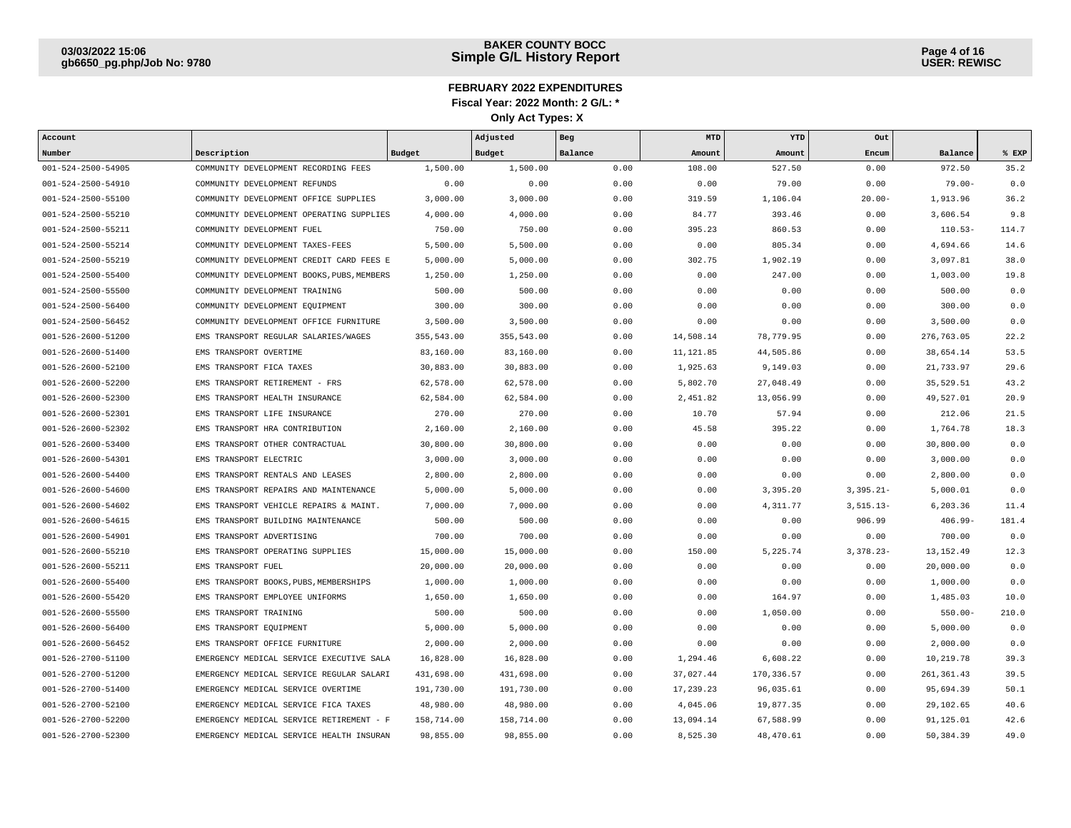| Account                    |                                            |               | Adjusted   | Beg     | MTD        | YTD        | Out           |             |       |
|----------------------------|--------------------------------------------|---------------|------------|---------|------------|------------|---------------|-------------|-------|
| Number                     | Description                                | <b>Budget</b> | Budget     | Balance | Amount     | Amount     | Encum         | Balance     | % EXP |
| 001-524-2500-54905         | COMMUNITY DEVELOPMENT RECORDING FEES       | 1,500.00      | 1,500.00   | 0.00    | 108.00     | 527.50     | 0.00          | 972.50      | 35.2  |
| 001-524-2500-54910         | COMMUNITY DEVELOPMENT REFUNDS              | 0.00          | 0.00       | 0.00    | 0.00       | 79.00      | 0.00          | $79.00 -$   | 0.0   |
| 001-524-2500-55100         | COMMUNITY DEVELOPMENT OFFICE SUPPLIES      | 3,000.00      | 3,000.00   | 0.00    | 319.59     | 1,106.04   | $20.00 -$     | 1,913.96    | 36.2  |
| 001-524-2500-55210         | COMMUNITY DEVELOPMENT OPERATING SUPPLIES   | 4,000.00      | 4,000.00   | 0.00    | 84.77      | 393.46     | 0.00          | 3,606.54    | 9.8   |
| 001-524-2500-55211         | COMMUNITY DEVELOPMENT FUEL                 | 750.00        | 750.00     | 0.00    | 395.23     | 860.53     | 0.00          | $110.53-$   | 114.7 |
| 001-524-2500-55214         | COMMUNITY DEVELOPMENT TAXES-FEES           | 5,500.00      | 5,500.00   | 0.00    | 0.00       | 805.34     | 0.00          | 4,694.66    | 14.6  |
| 001-524-2500-55219         | COMMUNITY DEVELOPMENT CREDIT CARD FEES E   | 5,000.00      | 5,000.00   | 0.00    | 302.75     | 1,902.19   | 0.00          | 3,097.81    | 38.0  |
| 001-524-2500-55400         | COMMUNITY DEVELOPMENT BOOKS, PUBS, MEMBERS | 1,250.00      | 1,250.00   | 0.00    | 0.00       | 247.00     | 0.00          | 1,003.00    | 19.8  |
| 001-524-2500-55500         | COMMUNITY DEVELOPMENT TRAINING             | 500.00        | 500.00     | 0.00    | 0.00       | 0.00       | 0.00          | 500.00      | 0.0   |
| 001-524-2500-56400         | COMMUNITY DEVELOPMENT EQUIPMENT            | 300.00        | 300.00     | 0.00    | 0.00       | 0.00       | 0.00          | 300.00      | 0.0   |
| 001-524-2500-56452         | COMMUNITY DEVELOPMENT OFFICE FURNITURE     | 3,500.00      | 3,500.00   | 0.00    | 0.00       | 0.00       | 0.00          | 3,500.00    | 0.0   |
| 001-526-2600-51200         | EMS TRANSPORT REGULAR SALARIES/WAGES       | 355,543.00    | 355,543.00 | 0.00    | 14,508.14  | 78,779.95  | 0.00          | 276,763.05  | 22.2  |
| 001-526-2600-51400         | EMS TRANSPORT OVERTIME                     | 83,160.00     | 83,160.00  | 0.00    | 11, 121.85 | 44,505.86  | 0.00          | 38,654.14   | 53.5  |
| 001-526-2600-52100         | EMS TRANSPORT FICA TAXES                   | 30,883.00     | 30,883.00  | 0.00    | 1,925.63   | 9,149.03   | 0.00          | 21,733.97   | 29.6  |
| 001-526-2600-52200         | EMS TRANSPORT RETIREMENT - FRS             | 62,578.00     | 62,578.00  | 0.00    | 5,802.70   | 27,048.49  | 0.00          | 35,529.51   | 43.2  |
| 001-526-2600-52300         | EMS TRANSPORT HEALTH INSURANCE             | 62,584.00     | 62,584.00  | 0.00    | 2,451.82   | 13,056.99  | 0.00          | 49,527.01   | 20.9  |
| 001-526-2600-52301         | EMS TRANSPORT LIFE INSURANCE               | 270.00        | 270.00     | 0.00    | 10.70      | 57.94      | 0.00          | 212.06      | 21.5  |
| 001-526-2600-52302         | EMS TRANSPORT HRA CONTRIBUTION             | 2,160.00      | 2,160.00   | 0.00    | 45.58      | 395.22     | 0.00          | 1,764.78    | 18.3  |
| $001 - 526 - 2600 - 53400$ | EMS TRANSPORT OTHER CONTRACTUAL            | 30,800.00     | 30,800.00  | 0.00    | 0.00       | 0.00       | 0.00          | 30,800.00   | 0.0   |
| 001-526-2600-54301         | EMS TRANSPORT ELECTRIC                     | 3,000.00      | 3,000.00   | 0.00    | 0.00       | 0.00       | 0.00          | 3,000.00    | 0.0   |
| 001-526-2600-54400         | EMS TRANSPORT RENTALS AND LEASES           | 2,800.00      | 2,800.00   | 0.00    | 0.00       | 0.00       | 0.00          | 2,800.00    | 0.0   |
| 001-526-2600-54600         | EMS TRANSPORT REPAIRS AND MAINTENANCE      | 5,000.00      | 5,000.00   | 0.00    | 0.00       | 3,395.20   | $3,395.21-$   | 5,000.01    | 0.0   |
| 001-526-2600-54602         | EMS TRANSPORT VEHICLE REPAIRS & MAINT.     | 7,000.00      | 7,000.00   | 0.00    | 0.00       | 4,311.77   | $3, 515.13 -$ | 6,203.36    | 11.4  |
| 001-526-2600-54615         | EMS TRANSPORT BUILDING MAINTENANCE         | 500.00        | 500.00     | 0.00    | 0.00       | 0.00       | 906.99        | $406.99 -$  | 181.4 |
| 001-526-2600-54901         | EMS TRANSPORT ADVERTISING                  | 700.00        | 700.00     | 0.00    | 0.00       | 0.00       | 0.00          | 700.00      | 0.0   |
| 001-526-2600-55210         | EMS TRANSPORT OPERATING SUPPLIES           | 15,000.00     | 15,000.00  | 0.00    | 150.00     | 5,225.74   | $3,378.23-$   | 13, 152.49  | 12.3  |
| 001-526-2600-55211         | EMS TRANSPORT FUEL                         | 20,000.00     | 20,000.00  | 0.00    | 0.00       | 0.00       | 0.00          | 20,000.00   | 0.0   |
| 001-526-2600-55400         | EMS TRANSPORT BOOKS, PUBS, MEMBERSHIPS     | 1,000.00      | 1,000.00   | 0.00    | 0.00       | 0.00       | 0.00          | 1,000.00    | 0.0   |
| 001-526-2600-55420         | EMS TRANSPORT EMPLOYEE UNIFORMS            | 1,650.00      | 1,650.00   | 0.00    | 0.00       | 164.97     | 0.00          | 1,485.03    | 10.0  |
| 001-526-2600-55500         | EMS TRANSPORT TRAINING                     | 500.00        | 500.00     | 0.00    | 0.00       | 1,050.00   | 0.00          | $550.00 -$  | 210.0 |
| 001-526-2600-56400         | EMS TRANSPORT EQUIPMENT                    | 5,000.00      | 5,000.00   | 0.00    | 0.00       | 0.00       | 0.00          | 5,000.00    | 0.0   |
| 001-526-2600-56452         | EMS TRANSPORT OFFICE FURNITURE             | 2,000.00      | 2,000.00   | 0.00    | 0.00       | 0.00       | 0.00          | 2,000.00    | 0.0   |
| 001-526-2700-51100         | EMERGENCY MEDICAL SERVICE EXECUTIVE SALA   | 16,828.00     | 16,828.00  | 0.00    | 1,294.46   | 6,608.22   | 0.00          | 10,219.78   | 39.3  |
| 001-526-2700-51200         | EMERGENCY MEDICAL SERVICE REGULAR SALARI   | 431,698.00    | 431,698.00 | 0.00    | 37,027.44  | 170,336.57 | 0.00          | 261, 361.43 | 39.5  |
| 001-526-2700-51400         | EMERGENCY MEDICAL SERVICE OVERTIME         | 191,730.00    | 191,730.00 | 0.00    | 17,239.23  | 96,035.61  | 0.00          | 95,694.39   | 50.1  |
| 001-526-2700-52100         | EMERGENCY MEDICAL SERVICE FICA TAXES       | 48,980.00     | 48,980.00  | 0.00    | 4,045.06   | 19,877.35  | 0.00          | 29,102.65   | 40.6  |
| 001-526-2700-52200         | EMERGENCY MEDICAL SERVICE RETIREMENT - F   | 158,714.00    | 158,714.00 | 0.00    | 13,094.14  | 67,588.99  | 0.00          | 91,125.01   | 42.6  |
| 001-526-2700-52300         | EMERGENCY MEDICAL SERVICE HEALTH INSURAN   | 98,855.00     | 98,855.00  | 0.00    | 8,525.30   | 48,470.61  | 0.00          | 50,384.39   | 49.0  |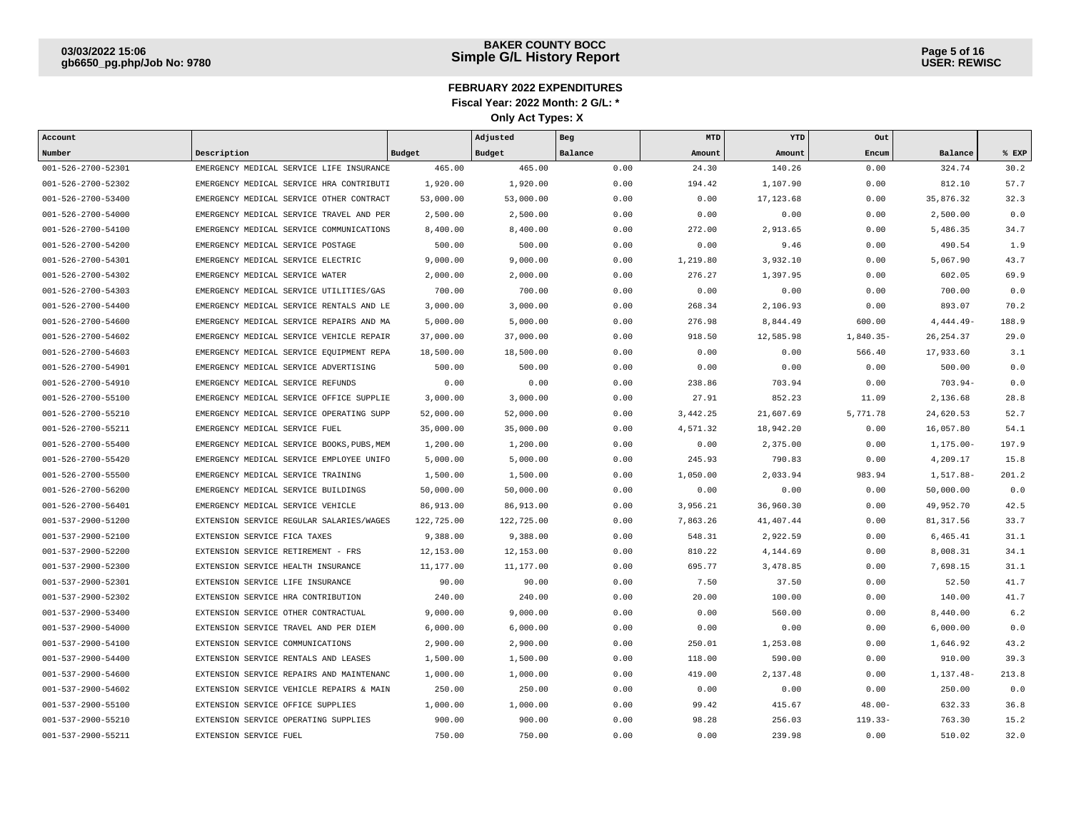| Account            |                                            |            | Adjusted   | Beg     | MTD      | YTD        | Out         |              |       |
|--------------------|--------------------------------------------|------------|------------|---------|----------|------------|-------------|--------------|-------|
| Number             | Description                                | Budget     | Budget     | Balance | Amount   | Amount     | Encum       | Balance      | % EXP |
| 001-526-2700-52301 | EMERGENCY MEDICAL SERVICE LIFE INSURANCE   | 465.00     | 465.00     | 0.00    | 24.30    | 140.26     | 0.00        | 324.74       | 30.2  |
| 001-526-2700-52302 | EMERGENCY MEDICAL SERVICE HRA CONTRIBUTI   | 1,920.00   | 1,920.00   | 0.00    | 194.42   | 1,107.90   | 0.00        | 812.10       | 57.7  |
| 001-526-2700-53400 | EMERGENCY MEDICAL SERVICE OTHER CONTRACT   | 53,000.00  | 53,000.00  | 0.00    | 0.00     | 17, 123.68 | 0.00        | 35,876.32    | 32.3  |
| 001-526-2700-54000 | EMERGENCY MEDICAL SERVICE TRAVEL AND PER   | 2,500.00   | 2,500.00   | 0.00    | 0.00     | 0.00       | 0.00        | 2,500.00     | 0.0   |
| 001-526-2700-54100 | EMERGENCY MEDICAL SERVICE COMMUNICATIONS   | 8,400.00   | 8,400.00   | 0.00    | 272.00   | 2,913.65   | 0.00        | 5,486.35     | 34.7  |
| 001-526-2700-54200 | EMERGENCY MEDICAL SERVICE POSTAGE          | 500.00     | 500.00     | 0.00    | 0.00     | 9.46       | 0.00        | 490.54       | 1.9   |
| 001-526-2700-54301 | EMERGENCY MEDICAL SERVICE ELECTRIC         | 9,000.00   | 9,000.00   | 0.00    | 1,219.80 | 3,932.10   | 0.00        | 5,067.90     | 43.7  |
| 001-526-2700-54302 | EMERGENCY MEDICAL SERVICE WATER            | 2,000.00   | 2,000.00   | 0.00    | 276.27   | 1,397.95   | 0.00        | 602.05       | 69.9  |
| 001-526-2700-54303 | EMERGENCY MEDICAL SERVICE UTILITIES/GAS    | 700.00     | 700.00     | 0.00    | 0.00     | 0.00       | 0.00        | 700.00       | 0.0   |
| 001-526-2700-54400 | EMERGENCY MEDICAL SERVICE RENTALS AND LE   | 3,000.00   | 3,000.00   | 0.00    | 268.34   | 2,106.93   | 0.00        | 893.07       | 70.2  |
| 001-526-2700-54600 | EMERGENCY MEDICAL SERVICE REPAIRS AND MA   | 5,000.00   | 5,000.00   | 0.00    | 276.98   | 8,844.49   | 600.00      | $4,444.49-$  | 188.9 |
| 001-526-2700-54602 | EMERGENCY MEDICAL SERVICE VEHICLE REPAIR   | 37,000.00  | 37,000.00  | 0.00    | 918.50   | 12,585.98  | $1,840.35-$ | 26, 254.37   | 29.0  |
| 001-526-2700-54603 | EMERGENCY MEDICAL SERVICE EOUIPMENT REPA   | 18,500.00  | 18,500.00  | 0.00    | 0.00     | 0.00       | 566.40      | 17,933.60    | 3.1   |
| 001-526-2700-54901 | EMERGENCY MEDICAL SERVICE ADVERTISING      | 500.00     | 500.00     | 0.00    | 0.00     | 0.00       | 0.00        | 500.00       | 0.0   |
| 001-526-2700-54910 | EMERGENCY MEDICAL SERVICE REFUNDS          | 0.00       | 0.00       | 0.00    | 238.86   | 703.94     | 0.00        | $703.94-$    | 0.0   |
| 001-526-2700-55100 | EMERGENCY MEDICAL SERVICE OFFICE SUPPLIE   | 3,000.00   | 3,000.00   | 0.00    | 27.91    | 852.23     | 11.09       | 2,136.68     | 28.8  |
| 001-526-2700-55210 | EMERGENCY MEDICAL SERVICE OPERATING SUPP   | 52,000.00  | 52,000.00  | 0.00    | 3,442.25 | 21,607.69  | 5,771.78    | 24,620.53    | 52.7  |
| 001-526-2700-55211 | EMERGENCY MEDICAL SERVICE FUEL             | 35,000.00  | 35,000.00  | 0.00    | 4,571.32 | 18,942.20  | 0.00        | 16,057.80    | 54.1  |
| 001-526-2700-55400 | EMERGENCY MEDICAL SERVICE BOOKS, PUBS, MEM | 1,200.00   | 1,200.00   | 0.00    | 0.00     | 2,375.00   | 0.00        | $1,175.00 -$ | 197.9 |
| 001-526-2700-55420 | EMERGENCY MEDICAL SERVICE EMPLOYEE UNIFO   | 5,000.00   | 5,000.00   | 0.00    | 245.93   | 790.83     | 0.00        | 4,209.17     | 15.8  |
| 001-526-2700-55500 | EMERGENCY MEDICAL SERVICE TRAINING         | 1,500.00   | 1,500.00   | 0.00    | 1,050.00 | 2,033.94   | 983.94      | 1,517.88-    | 201.2 |
| 001-526-2700-56200 | EMERGENCY MEDICAL SERVICE BUILDINGS        | 50,000.00  | 50,000.00  | 0.00    | 0.00     | 0.00       | 0.00        | 50,000.00    | 0.0   |
| 001-526-2700-56401 | EMERGENCY MEDICAL SERVICE VEHICLE          | 86,913.00  | 86,913.00  | 0.00    | 3,956.21 | 36,960.30  | 0.00        | 49,952.70    | 42.5  |
| 001-537-2900-51200 | EXTENSION SERVICE REGULAR SALARIES/WAGES   | 122,725.00 | 122,725.00 | 0.00    | 7,863.26 | 41,407.44  | 0.00        | 81, 317.56   | 33.7  |
| 001-537-2900-52100 | EXTENSION SERVICE FICA TAXES               | 9,388.00   | 9,388.00   | 0.00    | 548.31   | 2,922.59   | 0.00        | 6,465.41     | 31.1  |
| 001-537-2900-52200 | EXTENSION SERVICE RETIREMENT - FRS         | 12,153.00  | 12,153.00  | 0.00    | 810.22   | 4,144.69   | 0.00        | 8,008.31     | 34.1  |
| 001-537-2900-52300 | EXTENSION SERVICE HEALTH INSURANCE         | 11,177.00  | 11,177.00  | 0.00    | 695.77   | 3,478.85   | 0.00        | 7,698.15     | 31.1  |
| 001-537-2900-52301 | EXTENSION SERVICE LIFE INSURANCE           | 90.00      | 90.00      | 0.00    | 7.50     | 37.50      | 0.00        | 52.50        | 41.7  |
| 001-537-2900-52302 | EXTENSION SERVICE HRA CONTRIBUTION         | 240.00     | 240.00     | 0.00    | 20.00    | 100.00     | 0.00        | 140.00       | 41.7  |
| 001-537-2900-53400 | EXTENSION SERVICE OTHER CONTRACTUAL        | 9,000.00   | 9,000.00   | 0.00    | 0.00     | 560.00     | 0.00        | 8,440.00     | 6.2   |
| 001-537-2900-54000 | EXTENSION SERVICE TRAVEL AND PER DIEM      | 6,000.00   | 6,000.00   | 0.00    | 0.00     | 0.00       | 0.00        | 6,000.00     | 0.0   |
| 001-537-2900-54100 | EXTENSION SERVICE COMMUNICATIONS           | 2,900.00   | 2,900.00   | 0.00    | 250.01   | 1,253.08   | 0.00        | 1,646.92     | 43.2  |
| 001-537-2900-54400 | EXTENSION SERVICE RENTALS AND LEASES       | 1,500.00   | 1,500.00   | 0.00    | 118.00   | 590.00     | 0.00        | 910.00       | 39.3  |
| 001-537-2900-54600 | EXTENSION SERVICE REPAIRS AND MAINTENANC   | 1,000.00   | 1,000.00   | 0.00    | 419.00   | 2,137.48   | 0.00        | 1,137.48-    | 213.8 |
| 001-537-2900-54602 | EXTENSION SERVICE VEHICLE REPAIRS & MAIN   | 250.00     | 250.00     | 0.00    | 0.00     | 0.00       | 0.00        | 250.00       | 0.0   |
| 001-537-2900-55100 | EXTENSION SERVICE OFFICE SUPPLIES          | 1,000.00   | 1,000.00   | 0.00    | 99.42    | 415.67     | $48.00 -$   | 632.33       | 36.8  |
| 001-537-2900-55210 | EXTENSION SERVICE OPERATING SUPPLIES       | 900.00     | 900.00     | 0.00    | 98.28    | 256.03     | $119.33-$   | 763.30       | 15.2  |
| 001-537-2900-55211 | EXTENSION SERVICE FUEL                     | 750.00     | 750.00     | 0.00    | 0.00     | 239.98     | 0.00        | 510.02       | 32.0  |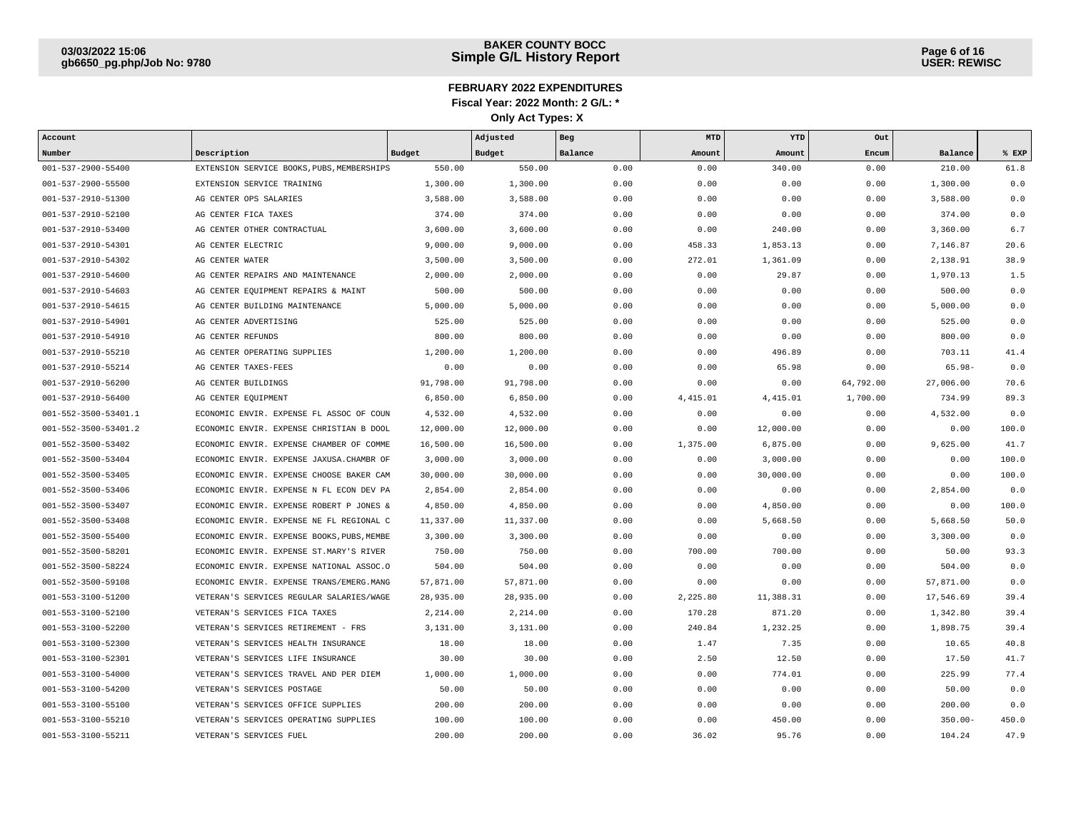| Account                    |                                            |           | Adjusted  | Beg     | MTD      | YTD       | Out       |            |       |
|----------------------------|--------------------------------------------|-----------|-----------|---------|----------|-----------|-----------|------------|-------|
| Number                     | Description                                | Budget    | Budget    | Balance | Amount   | Amount    | Encum     | Balance    | % EXP |
| $001 - 537 - 2900 - 55400$ | EXTENSION SERVICE BOOKS, PUBS, MEMBERSHIPS | 550.00    | 550.00    | 0.00    | 0.00     | 340.00    | 0.00      | 210.00     | 61.8  |
| 001-537-2900-55500         | EXTENSION SERVICE TRAINING                 | 1,300.00  | 1,300.00  | 0.00    | 0.00     | 0.00      | 0.00      | 1,300.00   | 0.0   |
| 001-537-2910-51300         | AG CENTER OPS SALARIES                     | 3,588.00  | 3,588.00  | 0.00    | 0.00     | 0.00      | 0.00      | 3,588.00   | 0.0   |
| 001-537-2910-52100         | AG CENTER FICA TAXES                       | 374.00    | 374.00    | 0.00    | 0.00     | 0.00      | 0.00      | 374.00     | 0.0   |
| 001-537-2910-53400         | AG CENTER OTHER CONTRACTUAL                | 3,600.00  | 3,600.00  | 0.00    | 0.00     | 240.00    | 0.00      | 3,360.00   | 6.7   |
| 001-537-2910-54301         | AG CENTER ELECTRIC                         | 9,000.00  | 9,000.00  | 0.00    | 458.33   | 1,853.13  | 0.00      | 7,146.87   | 20.6  |
| 001-537-2910-54302         | AG CENTER WATER                            | 3,500.00  | 3,500.00  | 0.00    | 272.01   | 1,361.09  | 0.00      | 2,138.91   | 38.9  |
| 001-537-2910-54600         | AG CENTER REPAIRS AND MAINTENANCE          | 2,000.00  | 2,000.00  | 0.00    | 0.00     | 29.87     | 0.00      | 1,970.13   | 1.5   |
| 001-537-2910-54603         | AG CENTER EQUIPMENT REPAIRS & MAINT        | 500.00    | 500.00    | 0.00    | 0.00     | 0.00      | 0.00      | 500.00     | 0.0   |
| 001-537-2910-54615         | AG CENTER BUILDING MAINTENANCE             | 5,000.00  | 5,000.00  | 0.00    | 0.00     | 0.00      | 0.00      | 5,000.00   | 0.0   |
| 001-537-2910-54901         | AG CENTER ADVERTISING                      | 525.00    | 525.00    | 0.00    | 0.00     | 0.00      | 0.00      | 525.00     | 0.0   |
| 001-537-2910-54910         | AG CENTER REFUNDS                          | 800.00    | 800.00    | 0.00    | 0.00     | 0.00      | 0.00      | 800.00     | 0.0   |
| 001-537-2910-55210         | AG CENTER OPERATING SUPPLIES               | 1,200.00  | 1,200.00  | 0.00    | 0.00     | 496.89    | 0.00      | 703.11     | 41.4  |
| 001-537-2910-55214         | AG CENTER TAXES-FEES                       | 0.00      | 0.00      | 0.00    | 0.00     | 65.98     | 0.00      | $65.98 -$  | 0.0   |
| 001-537-2910-56200         | AG CENTER BUILDINGS                        | 91,798.00 | 91,798.00 | 0.00    | 0.00     | 0.00      | 64,792.00 | 27,006.00  | 70.6  |
| 001-537-2910-56400         | AG CENTER EQUIPMENT                        | 6,850.00  | 6,850.00  | 0.00    | 4,415.01 | 4, 415.01 | 1,700.00  | 734.99     | 89.3  |
| 001-552-3500-53401.1       | ECONOMIC ENVIR. EXPENSE FL ASSOC OF COUN   | 4,532.00  | 4,532.00  | 0.00    | 0.00     | 0.00      | 0.00      | 4,532.00   | 0.0   |
| 001-552-3500-53401.2       | ECONOMIC ENVIR. EXPENSE CHRISTIAN B DOOL   | 12,000.00 | 12,000.00 | 0.00    | 0.00     | 12,000.00 | 0.00      | 0.00       | 100.0 |
| 001-552-3500-53402         | ECONOMIC ENVIR. EXPENSE CHAMBER OF COMME   | 16,500.00 | 16,500.00 | 0.00    | 1,375.00 | 6,875.00  | 0.00      | 9,625.00   | 41.7  |
| 001-552-3500-53404         | ECONOMIC ENVIR. EXPENSE JAXUSA.CHAMBR OF   | 3,000.00  | 3,000.00  | 0.00    | 0.00     | 3,000.00  | 0.00      | 0.00       | 100.0 |
| 001-552-3500-53405         | ECONOMIC ENVIR. EXPENSE CHOOSE BAKER CAM   | 30,000.00 | 30,000.00 | 0.00    | 0.00     | 30,000.00 | 0.00      | 0.00       | 100.0 |
| 001-552-3500-53406         | ECONOMIC ENVIR. EXPENSE N FL ECON DEV PA   | 2,854.00  | 2,854.00  | 0.00    | 0.00     | 0.00      | 0.00      | 2,854.00   | 0.0   |
| 001-552-3500-53407         | ECONOMIC ENVIR. EXPENSE ROBERT P JONES &   | 4,850.00  | 4,850.00  | 0.00    | 0.00     | 4,850.00  | 0.00      | 0.00       | 100.0 |
| 001-552-3500-53408         | ECONOMIC ENVIR. EXPENSE NE FL REGIONAL C   | 11,337.00 | 11,337.00 | 0.00    | 0.00     | 5,668.50  | 0.00      | 5,668.50   | 50.0  |
| 001-552-3500-55400         | ECONOMIC ENVIR. EXPENSE BOOKS, PUBS, MEMBE | 3,300.00  | 3,300.00  | 0.00    | 0.00     | 0.00      | 0.00      | 3,300.00   | 0.0   |
| 001-552-3500-58201         | ECONOMIC ENVIR. EXPENSE ST.MARY'S RIVER    | 750.00    | 750.00    | 0.00    | 700.00   | 700.00    | 0.00      | 50.00      | 93.3  |
| 001-552-3500-58224         | ECONOMIC ENVIR. EXPENSE NATIONAL ASSOC.O   | 504.00    | 504.00    | 0.00    | 0.00     | 0.00      | 0.00      | 504.00     | 0.0   |
| 001-552-3500-59108         | ECONOMIC ENVIR. EXPENSE TRANS/EMERG.MANG   | 57,871.00 | 57,871.00 | 0.00    | 0.00     | 0.00      | 0.00      | 57,871.00  | 0.0   |
| 001-553-3100-51200         | VETERAN'S SERVICES REGULAR SALARIES/WAGE   | 28,935.00 | 28,935.00 | 0.00    | 2,225.80 | 11,388.31 | 0.00      | 17,546.69  | 39.4  |
| 001-553-3100-52100         | VETERAN'S SERVICES FICA TAXES              | 2,214.00  | 2,214.00  | 0.00    | 170.28   | 871.20    | 0.00      | 1,342.80   | 39.4  |
| 001-553-3100-52200         | VETERAN'S SERVICES RETIREMENT - FRS        | 3,131.00  | 3,131.00  | 0.00    | 240.84   | 1,232.25  | 0.00      | 1,898.75   | 39.4  |
| 001-553-3100-52300         | VETERAN'S SERVICES HEALTH INSURANCE        | 18.00     | 18.00     | 0.00    | 1.47     | 7.35      | 0.00      | 10.65      | 40.8  |
| 001-553-3100-52301         | VETERAN'S SERVICES LIFE INSURANCE          | 30.00     | 30.00     | 0.00    | 2.50     | 12.50     | 0.00      | 17.50      | 41.7  |
| 001-553-3100-54000         | VETERAN'S SERVICES TRAVEL AND PER DIEM     | 1,000.00  | 1,000.00  | 0.00    | 0.00     | 774.01    | 0.00      | 225.99     | 77.4  |
| 001-553-3100-54200         | VETERAN'S SERVICES POSTAGE                 | 50.00     | 50.00     | 0.00    | 0.00     | 0.00      | 0.00      | 50.00      | 0.0   |
| 001-553-3100-55100         | VETERAN'S SERVICES OFFICE SUPPLIES         | 200.00    | 200.00    | 0.00    | 0.00     | 0.00      | 0.00      | 200.00     | 0.0   |
| 001-553-3100-55210         | VETERAN'S SERVICES OPERATING SUPPLIES      | 100.00    | 100.00    | 0.00    | 0.00     | 450.00    | 0.00      | $350.00 -$ | 450.0 |
| 001-553-3100-55211         | VETERAN'S SERVICES FUEL                    | 200.00    | 200.00    | 0.00    | 36.02    | 95.76     | 0.00      | 104.24     | 47.9  |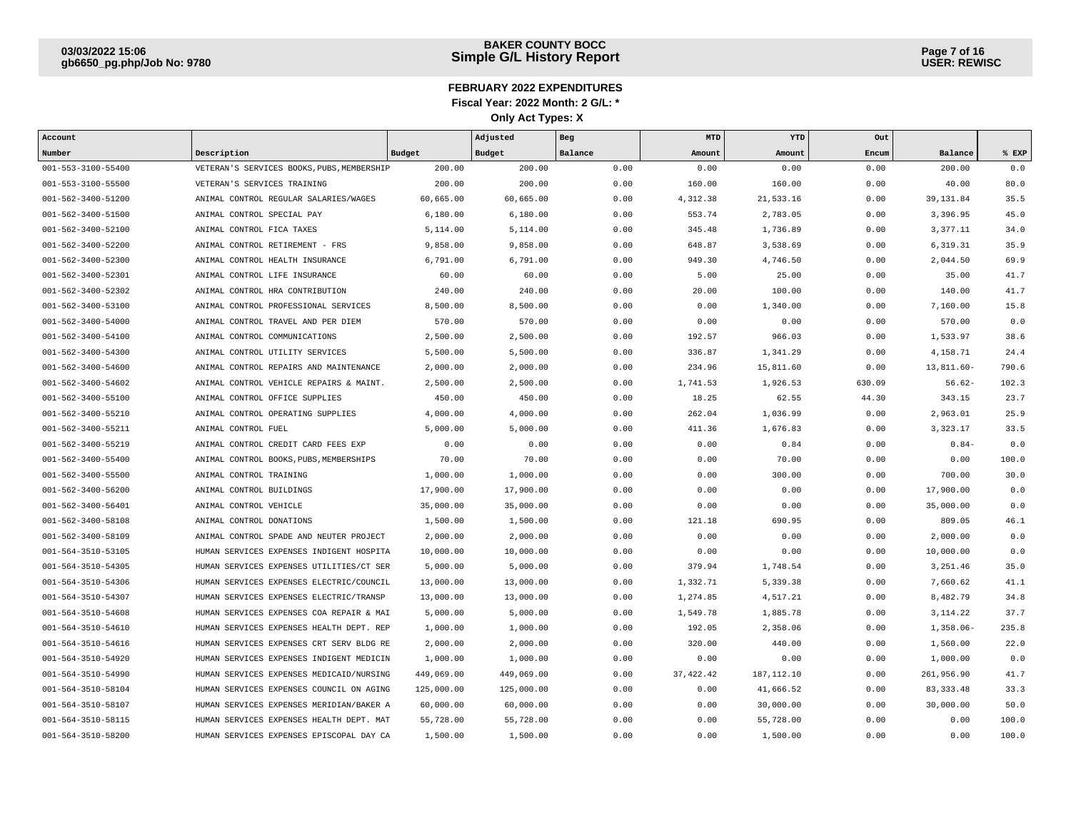| Account                    |                                            |               | Adjusted   | Beg     | MTD        | YTD         | Out    |               |       |
|----------------------------|--------------------------------------------|---------------|------------|---------|------------|-------------|--------|---------------|-------|
| Number                     | Description                                | <b>Budget</b> | Budget     | Balance | Amount     | Amount      | Encum  | Balance       | % EXP |
| 001-553-3100-55400         | VETERAN'S SERVICES BOOKS, PUBS, MEMBERSHIP | 200.00        | 200.00     | 0.00    | 0.00       | 0.00        | 0.00   | 200.00        | 0.0   |
| 001-553-3100-55500         | VETERAN'S SERVICES TRAINING                | 200.00        | 200.00     | 0.00    | 160.00     | 160.00      | 0.00   | 40.00         | 80.0  |
| 001-562-3400-51200         | ANIMAL CONTROL REGULAR SALARIES/WAGES      | 60,665.00     | 60,665.00  | 0.00    | 4,312.38   | 21,533.16   | 0.00   | 39, 131.84    | 35.5  |
| 001-562-3400-51500         | ANIMAL CONTROL SPECIAL PAY                 | 6,180.00      | 6,180.00   | 0.00    | 553.74     | 2,783.05    | 0.00   | 3,396.95      | 45.0  |
| 001-562-3400-52100         | ANIMAL CONTROL FICA TAXES                  | 5,114.00      | 5,114.00   | 0.00    | 345.48     | 1,736.89    | 0.00   | 3,377.11      | 34.0  |
| 001-562-3400-52200         | ANIMAL CONTROL RETIREMENT - FRS            | 9,858.00      | 9,858.00   | 0.00    | 648.87     | 3,538.69    | 0.00   | 6,319.31      | 35.9  |
| 001-562-3400-52300         | ANIMAL CONTROL HEALTH INSURANCE            | 6,791.00      | 6,791.00   | 0.00    | 949.30     | 4,746.50    | 0.00   | 2,044.50      | 69.9  |
| 001-562-3400-52301         | ANIMAL CONTROL LIFE INSURANCE              | 60.00         | 60.00      | 0.00    | 5.00       | 25.00       | 0.00   | 35.00         | 41.7  |
| 001-562-3400-52302         | ANIMAL CONTROL HRA CONTRIBUTION            | 240.00        | 240.00     | 0.00    | 20.00      | 100.00      | 0.00   | 140.00        | 41.7  |
| 001-562-3400-53100         | ANIMAL CONTROL PROFESSIONAL SERVICES       | 8,500.00      | 8,500.00   | 0.00    | 0.00       | 1,340.00    | 0.00   | 7,160.00      | 15.8  |
| $001 - 562 - 3400 - 54000$ | ANIMAL CONTROL TRAVEL AND PER DIEM         | 570.00        | 570.00     | 0.00    | 0.00       | 0.00        | 0.00   | 570.00        | 0.0   |
| 001-562-3400-54100         | ANIMAL CONTROL COMMUNICATIONS              | 2,500.00      | 2,500.00   | 0.00    | 192.57     | 966.03      | 0.00   | 1,533.97      | 38.6  |
| $001 - 562 - 3400 - 54300$ | ANIMAL CONTROL UTILITY SERVICES            | 5,500.00      | 5,500.00   | 0.00    | 336.87     | 1,341.29    | 0.00   | 4,158.71      | 24.4  |
| $001 - 562 - 3400 - 54600$ | ANIMAL CONTROL REPAIRS AND MAINTENANCE     | 2,000.00      | 2,000.00   | 0.00    | 234.96     | 15,811.60   | 0.00   | $13,811.60 -$ | 790.6 |
| 001-562-3400-54602         | ANIMAL CONTROL VEHICLE REPAIRS & MAINT.    | 2,500.00      | 2,500.00   | 0.00    | 1,741.53   | 1,926.53    | 630.09 | $56.62-$      | 102.3 |
| $001 - 562 - 3400 - 55100$ | ANIMAL CONTROL OFFICE SUPPLIES             | 450.00        | 450.00     | 0.00    | 18.25      | 62.55       | 44.30  | 343.15        | 23.7  |
| 001-562-3400-55210         | ANIMAL CONTROL OPERATING SUPPLIES          | 4,000.00      | 4,000.00   | 0.00    | 262.04     | 1,036.99    | 0.00   | 2,963.01      | 25.9  |
| 001-562-3400-55211         | ANIMAL CONTROL FUEL                        | 5,000.00      | 5,000.00   | 0.00    | 411.36     | 1,676.83    | 0.00   | 3,323.17      | 33.5  |
| 001-562-3400-55219         | ANIMAL CONTROL CREDIT CARD FEES EXP        | 0.00          | 0.00       | 0.00    | 0.00       | 0.84        | 0.00   | $0.84-$       | 0.0   |
| 001-562-3400-55400         | ANIMAL CONTROL BOOKS, PUBS, MEMBERSHIPS    | 70.00         | 70.00      | 0.00    | 0.00       | 70.00       | 0.00   | 0.00          | 100.0 |
| 001-562-3400-55500         | ANIMAL CONTROL TRAINING                    | 1,000.00      | 1,000.00   | 0.00    | 0.00       | 300.00      | 0.00   | 700.00        | 30.0  |
| 001-562-3400-56200         | ANIMAL CONTROL BUILDINGS                   | 17,900.00     | 17,900.00  | 0.00    | 0.00       | 0.00        | 0.00   | 17,900.00     | 0.0   |
| 001-562-3400-56401         | ANIMAL CONTROL VEHICLE                     | 35,000.00     | 35,000.00  | 0.00    | 0.00       | 0.00        | 0.00   | 35,000.00     | 0.0   |
| 001-562-3400-58108         | ANIMAL CONTROL DONATIONS                   | 1,500.00      | 1,500.00   | 0.00    | 121.18     | 690.95      | 0.00   | 809.05        | 46.1  |
| 001-562-3400-58109         | ANIMAL CONTROL SPADE AND NEUTER PROJECT    | 2,000.00      | 2,000.00   | 0.00    | 0.00       | 0.00        | 0.00   | 2,000.00      | 0.0   |
| 001-564-3510-53105         | HUMAN SERVICES EXPENSES INDIGENT HOSPITA   | 10,000.00     | 10,000.00  | 0.00    | 0.00       | 0.00        | 0.00   | 10,000.00     | 0.0   |
| 001-564-3510-54305         | HUMAN SERVICES EXPENSES UTILITIES/CT SER   | 5,000.00      | 5,000.00   | 0.00    | 379.94     | 1,748.54    | 0.00   | 3,251.46      | 35.0  |
| 001-564-3510-54306         | HUMAN SERVICES EXPENSES ELECTRIC/COUNCIL   | 13,000.00     | 13,000.00  | 0.00    | 1,332.71   | 5,339.38    | 0.00   | 7,660.62      | 41.1  |
| 001-564-3510-54307         | HUMAN SERVICES EXPENSES ELECTRIC/TRANSP    | 13,000.00     | 13,000.00  | 0.00    | 1,274.85   | 4,517.21    | 0.00   | 8,482.79      | 34.8  |
| 001-564-3510-54608         | HUMAN SERVICES EXPENSES COA REPAIR & MAI   | 5,000.00      | 5,000.00   | 0.00    | 1,549.78   | 1,885.78    | 0.00   | 3, 114.22     | 37.7  |
| 001-564-3510-54610         | HUMAN SERVICES EXPENSES HEALTH DEPT. REP   | 1,000.00      | 1,000.00   | 0.00    | 192.05     | 2,358.06    | 0.00   | $1,358.06-$   | 235.8 |
| $001 - 564 - 3510 - 54616$ | HUMAN SERVICES EXPENSES CRT SERV BLDG RE   | 2,000.00      | 2,000.00   | 0.00    | 320.00     | 440.00      | 0.00   | 1,560.00      | 22.0  |
| 001-564-3510-54920         | HUMAN SERVICES EXPENSES INDIGENT MEDICIN   | 1,000.00      | 1,000.00   | 0.00    | 0.00       | 0.00        | 0.00   | 1,000.00      | 0.0   |
| 001-564-3510-54990         | HUMAN SERVICES EXPENSES MEDICAID/NURSING   | 449,069.00    | 449,069.00 | 0.00    | 37, 422.42 | 187, 112.10 | 0.00   | 261,956.90    | 41.7  |
| 001-564-3510-58104         | HUMAN SERVICES EXPENSES COUNCIL ON AGING   | 125,000.00    | 125,000.00 | 0.00    | 0.00       | 41,666.52   | 0.00   | 83, 333.48    | 33.3  |
| 001-564-3510-58107         | HUMAN SERVICES EXPENSES MERIDIAN/BAKER A   | 60,000.00     | 60,000.00  | 0.00    | 0.00       | 30,000.00   | 0.00   | 30,000.00     | 50.0  |
| 001-564-3510-58115         | HUMAN SERVICES EXPENSES HEALTH DEPT. MAT   | 55,728.00     | 55,728.00  | 0.00    | 0.00       | 55,728.00   | 0.00   | 0.00          | 100.0 |
| 001-564-3510-58200         | HUMAN SERVICES EXPENSES EPISCOPAL DAY CA   | 1,500.00      | 1,500.00   | 0.00    | 0.00       | 1,500.00    | 0.00   | 0.00          | 100.0 |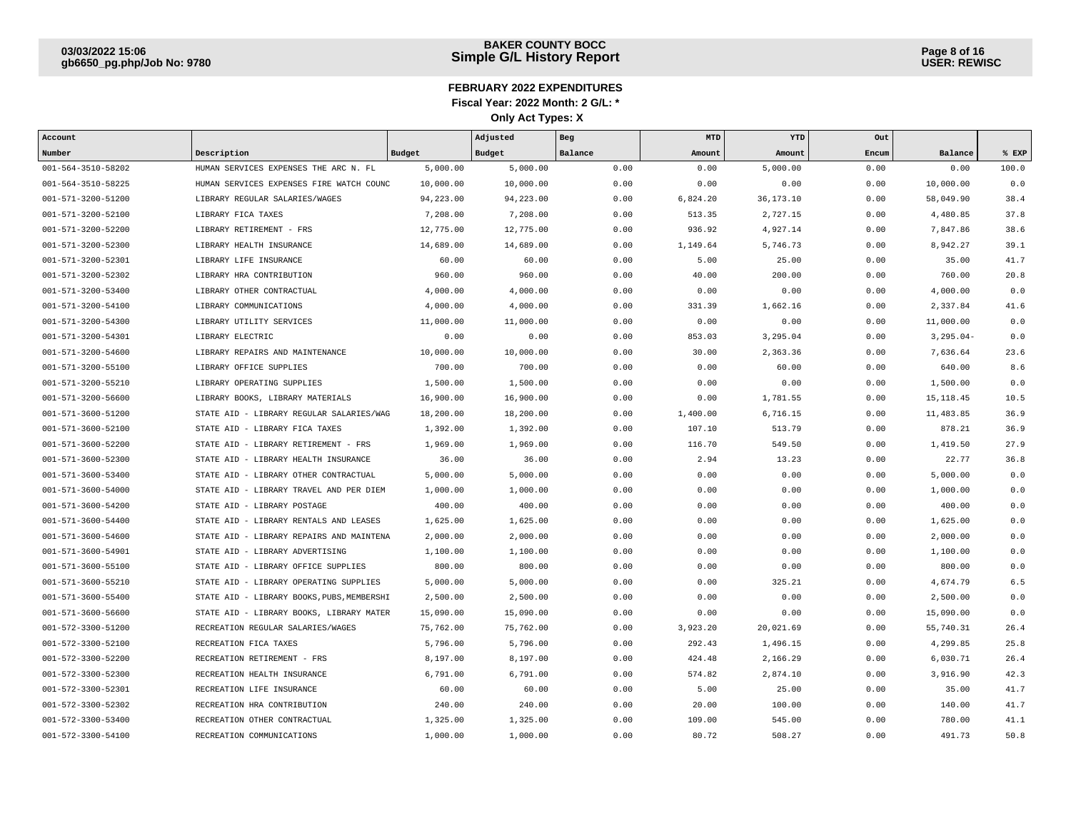| Account            |                                            |               | Adjusted  | Beg     | MTD      | YTD         | Out   |               |       |
|--------------------|--------------------------------------------|---------------|-----------|---------|----------|-------------|-------|---------------|-------|
| Number             | Description                                | <b>Budget</b> | Budget    | Balance | Amount   | Amount      | Encum | Balance       | % EXP |
| 001-564-3510-58202 | HUMAN SERVICES EXPENSES THE ARC N. FL      | 5,000.00      | 5,000.00  | 0.00    | 0.00     | 5,000.00    | 0.00  | 0.00          | 100.0 |
| 001-564-3510-58225 | HUMAN SERVICES EXPENSES FIRE WATCH COUNC   | 10,000.00     | 10,000.00 | 0.00    | 0.00     | 0.00        | 0.00  | 10,000.00     | 0.0   |
| 001-571-3200-51200 | LIBRARY REGULAR SALARIES/WAGES             | 94, 223.00    | 94,223.00 | 0.00    | 6,824.20 | 36, 173. 10 | 0.00  | 58,049.90     | 38.4  |
| 001-571-3200-52100 | LIBRARY FICA TAXES                         | 7,208.00      | 7,208.00  | 0.00    | 513.35   | 2,727.15    | 0.00  | 4,480.85      | 37.8  |
| 001-571-3200-52200 | LIBRARY RETIREMENT - FRS                   | 12,775.00     | 12,775.00 | 0.00    | 936.92   | 4,927.14    | 0.00  | 7,847.86      | 38.6  |
| 001-571-3200-52300 | LIBRARY HEALTH INSURANCE                   | 14,689.00     | 14,689.00 | 0.00    | 1,149.64 | 5,746.73    | 0.00  | 8,942.27      | 39.1  |
| 001-571-3200-52301 | LIBRARY LIFE INSURANCE                     | 60.00         | 60.00     | 0.00    | 5.00     | 25.00       | 0.00  | 35.00         | 41.7  |
| 001-571-3200-52302 | LIBRARY HRA CONTRIBUTION                   | 960.00        | 960.00    | 0.00    | 40.00    | 200.00      | 0.00  | 760.00        | 20.8  |
| 001-571-3200-53400 | LIBRARY OTHER CONTRACTUAL                  | 4,000.00      | 4,000.00  | 0.00    | 0.00     | 0.00        | 0.00  | 4,000.00      | 0.0   |
| 001-571-3200-54100 | LIBRARY COMMUNICATIONS                     | 4,000.00      | 4,000.00  | 0.00    | 331.39   | 1,662.16    | 0.00  | 2,337.84      | 41.6  |
| 001-571-3200-54300 | LIBRARY UTILITY SERVICES                   | 11,000.00     | 11,000.00 | 0.00    | 0.00     | 0.00        | 0.00  | 11,000.00     | 0.0   |
| 001-571-3200-54301 | LIBRARY ELECTRIC                           | 0.00          | 0.00      | 0.00    | 853.03   | 3,295.04    | 0.00  | $3, 295.04 -$ | 0.0   |
| 001-571-3200-54600 | LIBRARY REPAIRS AND MAINTENANCE            | 10,000.00     | 10,000.00 | 0.00    | 30.00    | 2,363.36    | 0.00  | 7,636.64      | 23.6  |
| 001-571-3200-55100 | LIBRARY OFFICE SUPPLIES                    | 700.00        | 700.00    | 0.00    | 0.00     | 60.00       | 0.00  | 640.00        | 8.6   |
| 001-571-3200-55210 | LIBRARY OPERATING SUPPLIES                 | 1,500.00      | 1,500.00  | 0.00    | 0.00     | 0.00        | 0.00  | 1,500.00      | 0.0   |
| 001-571-3200-56600 | LIBRARY BOOKS, LIBRARY MATERIALS           | 16,900.00     | 16,900.00 | 0.00    | 0.00     | 1,781.55    | 0.00  | 15, 118.45    | 10.5  |
| 001-571-3600-51200 | STATE AID - LIBRARY REGULAR SALARIES/WAG   | 18,200.00     | 18,200.00 | 0.00    | 1,400.00 | 6,716.15    | 0.00  | 11,483.85     | 36.9  |
| 001-571-3600-52100 | STATE AID - LIBRARY FICA TAXES             | 1,392.00      | 1,392.00  | 0.00    | 107.10   | 513.79      | 0.00  | 878.21        | 36.9  |
| 001-571-3600-52200 | STATE AID - LIBRARY RETIREMENT - FRS       | 1,969.00      | 1,969.00  | 0.00    | 116.70   | 549.50      | 0.00  | 1,419.50      | 27.9  |
| 001-571-3600-52300 | STATE AID - LIBRARY HEALTH INSURANCE       | 36.00         | 36.00     | 0.00    | 2.94     | 13.23       | 0.00  | 22.77         | 36.8  |
| 001-571-3600-53400 | STATE AID - LIBRARY OTHER CONTRACTUAL      | 5,000.00      | 5,000.00  | 0.00    | 0.00     | 0.00        | 0.00  | 5,000.00      | 0.0   |
| 001-571-3600-54000 | STATE AID<br>- LIBRARY TRAVEL AND PER DIEM | 1,000.00      | 1,000.00  | 0.00    | 0.00     | 0.00        | 0.00  | 1,000.00      | 0.0   |
| 001-571-3600-54200 | STATE AID<br>- LIBRARY POSTAGE             | 400.00        | 400.00    | 0.00    | 0.00     | 0.00        | 0.00  | 400.00        | 0.0   |
| 001-571-3600-54400 | - LIBRARY RENTALS AND LEASES<br>STATE AID  | 1,625.00      | 1,625.00  | 0.00    | 0.00     | 0.00        | 0.00  | 1,625.00      | 0.0   |
| 001-571-3600-54600 | STATE AID - LIBRARY REPAIRS AND MAINTENA   | 2,000.00      | 2,000.00  | 0.00    | 0.00     | 0.00        | 0.00  | 2,000.00      | 0.0   |
| 001-571-3600-54901 | STATE AID - LIBRARY ADVERTISING            | 1,100.00      | 1,100.00  | 0.00    | 0.00     | 0.00        | 0.00  | 1,100.00      | 0.0   |
| 001-571-3600-55100 | STATE AID - LIBRARY OFFICE SUPPLIES        | 800.00        | 800.00    | 0.00    | 0.00     | 0.00        | 0.00  | 800.00        | 0.0   |
| 001-571-3600-55210 | STATE AID - LIBRARY OPERATING SUPPLIES     | 5,000.00      | 5,000.00  | 0.00    | 0.00     | 325.21      | 0.00  | 4,674.79      | 6.5   |
| 001-571-3600-55400 | STATE AID - LIBRARY BOOKS, PUBS, MEMBERSHI | 2,500.00      | 2,500.00  | 0.00    | 0.00     | 0.00        | 0.00  | 2,500.00      | 0.0   |
| 001-571-3600-56600 | STATE AID - LIBRARY BOOKS, LIBRARY MATER   | 15,090.00     | 15,090.00 | 0.00    | 0.00     | 0.00        | 0.00  | 15,090.00     | 0.0   |
| 001-572-3300-51200 | RECREATION REGULAR SALARIES/WAGES          | 75,762.00     | 75,762.00 | 0.00    | 3,923.20 | 20,021.69   | 0.00  | 55,740.31     | 26.4  |
| 001-572-3300-52100 | RECREATION FICA TAXES                      | 5,796.00      | 5,796.00  | 0.00    | 292.43   | 1,496.15    | 0.00  | 4,299.85      | 25.8  |
| 001-572-3300-52200 | RECREATION RETIREMENT - FRS                | 8,197.00      | 8,197.00  | 0.00    | 424.48   | 2,166.29    | 0.00  | 6,030.71      | 26.4  |
| 001-572-3300-52300 | RECREATION HEALTH INSURANCE                | 6,791.00      | 6,791.00  | 0.00    | 574.82   | 2,874.10    | 0.00  | 3,916.90      | 42.3  |
| 001-572-3300-52301 | RECREATION LIFE INSURANCE                  | 60.00         | 60.00     | 0.00    | 5.00     | 25.00       | 0.00  | 35.00         | 41.7  |
| 001-572-3300-52302 | RECREATION HRA CONTRIBUTION                | 240.00        | 240.00    | 0.00    | 20.00    | 100.00      | 0.00  | 140.00        | 41.7  |
| 001-572-3300-53400 | RECREATION OTHER CONTRACTUAL               | 1,325.00      | 1,325.00  | 0.00    | 109.00   | 545.00      | 0.00  | 780.00        | 41.1  |
| 001-572-3300-54100 | RECREATION COMMUNICATIONS                  | 1,000.00      | 1,000.00  | 0.00    | 80.72    | 508.27      | 0.00  | 491.73        | 50.8  |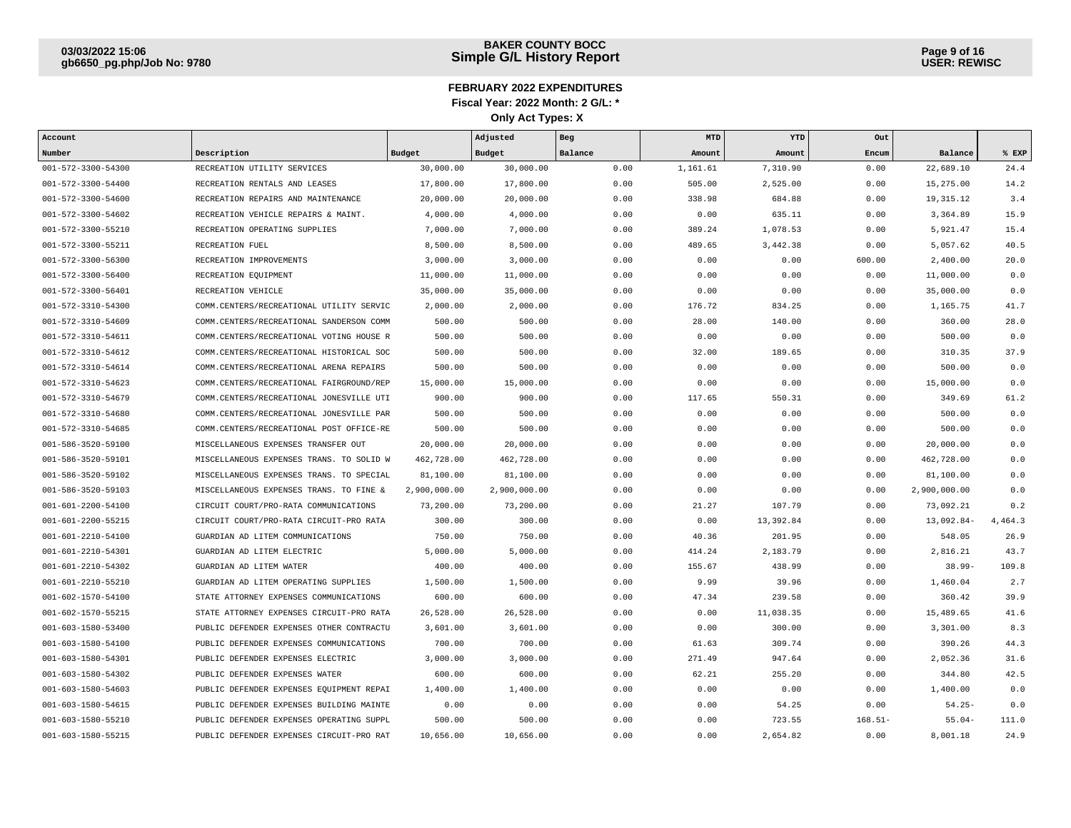| Account            |                                           |              | Adjusted     | Beg     | <b>MTD</b> | YTD       | Out       |              |         |
|--------------------|-------------------------------------------|--------------|--------------|---------|------------|-----------|-----------|--------------|---------|
| Number             | Description                               | Budget       | Budget       | Balance | Amount     | Amount    | Encum     | Balance      | % EXP   |
| 001-572-3300-54300 | RECREATION UTILITY SERVICES               | 30,000.00    | 30,000.00    | 0.00    | 1,161.61   | 7,310.90  | 0.00      | 22,689.10    | 24.4    |
| 001-572-3300-54400 | RECREATION RENTALS AND LEASES             | 17,800.00    | 17,800.00    | 0.00    | 505.00     | 2,525.00  | 0.00      | 15,275.00    | 14.2    |
| 001-572-3300-54600 | RECREATION REPAIRS AND MAINTENANCE        | 20,000.00    | 20,000.00    | 0.00    | 338.98     | 684.88    | 0.00      | 19, 315.12   | 3.4     |
| 001-572-3300-54602 | RECREATION VEHICLE REPAIRS & MAINT.       | 4,000.00     | 4,000.00     | 0.00    | 0.00       | 635.11    | 0.00      | 3,364.89     | 15.9    |
| 001-572-3300-55210 | RECREATION OPERATING SUPPLIES             | 7,000.00     | 7,000.00     | 0.00    | 389.24     | 1,078.53  | 0.00      | 5,921.47     | 15.4    |
| 001-572-3300-55211 | RECREATION FUEL                           | 8,500.00     | 8,500.00     | 0.00    | 489.65     | 3,442.38  | 0.00      | 5,057.62     | 40.5    |
| 001-572-3300-56300 | RECREATION IMPROVEMENTS                   | 3,000.00     | 3,000.00     | 0.00    | 0.00       | 0.00      | 600.00    | 2,400.00     | 20.0    |
| 001-572-3300-56400 | RECREATION EQUIPMENT                      | 11,000.00    | 11,000.00    | 0.00    | 0.00       | 0.00      | 0.00      | 11,000.00    | 0.0     |
| 001-572-3300-56401 | RECREATION VEHICLE                        | 35,000.00    | 35,000.00    | 0.00    | 0.00       | 0.00      | 0.00      | 35,000.00    | 0.0     |
| 001-572-3310-54300 | COMM.CENTERS/RECREATIONAL UTILITY SERVIC  | 2,000.00     | 2,000.00     | 0.00    | 176.72     | 834.25    | 0.00      | 1,165.75     | 41.7    |
| 001-572-3310-54609 | COMM.CENTERS/RECREATIONAL SANDERSON COMM  | 500.00       | 500.00       | 0.00    | 28.00      | 140.00    | 0.00      | 360.00       | 28.0    |
| 001-572-3310-54611 | COMM. CENTERS/RECREATIONAL VOTING HOUSE R | 500.00       | 500.00       | 0.00    | 0.00       | 0.00      | 0.00      | 500.00       | 0.0     |
| 001-572-3310-54612 | COMM. CENTERS/RECREATIONAL HISTORICAL SOC | 500.00       | 500.00       | 0.00    | 32.00      | 189.65    | 0.00      | 310.35       | 37.9    |
| 001-572-3310-54614 | COMM. CENTERS/RECREATIONAL ARENA REPAIRS  | 500.00       | 500.00       | 0.00    | 0.00       | 0.00      | 0.00      | 500.00       | 0.0     |
| 001-572-3310-54623 | COMM. CENTERS/RECREATIONAL FAIRGROUND/REP | 15,000.00    | 15,000.00    | 0.00    | 0.00       | 0.00      | 0.00      | 15,000.00    | 0.0     |
| 001-572-3310-54679 | COMM.CENTERS/RECREATIONAL JONESVILLE UTI  | 900.00       | 900.00       | 0.00    | 117.65     | 550.31    | 0.00      | 349.69       | 61.2    |
| 001-572-3310-54680 | COMM. CENTERS/RECREATIONAL JONESVILLE PAR | 500.00       | 500.00       | 0.00    | 0.00       | 0.00      | 0.00      | 500.00       | 0.0     |
| 001-572-3310-54685 | COMM. CENTERS/RECREATIONAL POST OFFICE-RE | 500.00       | 500.00       | 0.00    | 0.00       | 0.00      | 0.00      | 500.00       | 0.0     |
| 001-586-3520-59100 | MISCELLANEOUS EXPENSES TRANSFER OUT       | 20,000.00    | 20,000.00    | 0.00    | 0.00       | 0.00      | 0.00      | 20,000.00    | 0.0     |
| 001-586-3520-59101 | MISCELLANEOUS EXPENSES TRANS. TO SOLID W  | 462,728.00   | 462,728.00   | 0.00    | 0.00       | 0.00      | 0.00      | 462,728.00   | 0.0     |
| 001-586-3520-59102 | MISCELLANEOUS EXPENSES TRANS. TO SPECIAL  | 81,100.00    | 81,100.00    | 0.00    | 0.00       | 0.00      | 0.00      | 81,100.00    | 0.0     |
| 001-586-3520-59103 | MISCELLANEOUS EXPENSES TRANS. TO FINE &   | 2,900,000.00 | 2,900,000.00 | 0.00    | 0.00       | 0.00      | 0.00      | 2,900,000.00 | 0.0     |
| 001-601-2200-54100 | CIRCUIT COURT/PRO-RATA COMMUNICATIONS     | 73,200.00    | 73,200.00    | 0.00    | 21.27      | 107.79    | 0.00      | 73,092.21    | 0.2     |
| 001-601-2200-55215 | CIRCUIT COURT/PRO-RATA CIRCUIT-PRO RATA   | 300.00       | 300.00       | 0.00    | 0.00       | 13,392.84 | 0.00      | 13,092.84-   | 4,464.3 |
| 001-601-2210-54100 | GUARDIAN AD LITEM COMMUNICATIONS          | 750.00       | 750.00       | 0.00    | 40.36      | 201.95    | 0.00      | 548.05       | 26.9    |
| 001-601-2210-54301 | GUARDIAN AD LITEM ELECTRIC                | 5,000.00     | 5,000.00     | 0.00    | 414.24     | 2,183.79  | 0.00      | 2,816.21     | 43.7    |
| 001-601-2210-54302 | GUARDIAN AD LITEM WATER                   | 400.00       | 400.00       | 0.00    | 155.67     | 438.99    | 0.00      | $38.99 -$    | 109.8   |
| 001-601-2210-55210 | GUARDIAN AD LITEM OPERATING SUPPLIES      | 1,500.00     | 1,500.00     | 0.00    | 9.99       | 39.96     | 0.00      | 1,460.04     | 2.7     |
| 001-602-1570-54100 | STATE ATTORNEY EXPENSES COMMUNICATIONS    | 600.00       | 600.00       | 0.00    | 47.34      | 239.58    | 0.00      | 360.42       | 39.9    |
| 001-602-1570-55215 | STATE ATTORNEY EXPENSES CIRCUIT-PRO RATA  | 26,528.00    | 26,528.00    | 0.00    | 0.00       | 11,038.35 | 0.00      | 15,489.65    | 41.6    |
| 001-603-1580-53400 | PUBLIC DEFENDER EXPENSES OTHER CONTRACTU  | 3,601.00     | 3,601.00     | 0.00    | 0.00       | 300.00    | 0.00      | 3,301.00     | 8.3     |
| 001-603-1580-54100 | PUBLIC DEFENDER EXPENSES COMMUNICATIONS   | 700.00       | 700.00       | 0.00    | 61.63      | 309.74    | 0.00      | 390.26       | 44.3    |
| 001-603-1580-54301 | PUBLIC DEFENDER EXPENSES ELECTRIC         | 3,000.00     | 3,000.00     | 0.00    | 271.49     | 947.64    | 0.00      | 2,052.36     | 31.6    |
| 001-603-1580-54302 | PUBLIC DEFENDER EXPENSES WATER            | 600.00       | 600.00       | 0.00    | 62.21      | 255.20    | 0.00      | 344.80       | 42.5    |
| 001-603-1580-54603 | PUBLIC DEFENDER EXPENSES EQUIPMENT REPAI  | 1,400.00     | 1,400.00     | 0.00    | 0.00       | 0.00      | 0.00      | 1,400.00     | 0.0     |
| 001-603-1580-54615 | PUBLIC DEFENDER EXPENSES BUILDING MAINTE  | 0.00         | 0.00         | 0.00    | 0.00       | 54.25     | 0.00      | $54.25 -$    | 0.0     |
| 001-603-1580-55210 | PUBLIC DEFENDER EXPENSES OPERATING SUPPL  | 500.00       | 500.00       | 0.00    | 0.00       | 723.55    | $168.51-$ | $55.04-$     | 111.0   |
| 001-603-1580-55215 | PUBLIC DEFENDER EXPENSES CIRCUIT-PRO RAT  | 10,656.00    | 10,656.00    | 0.00    | 0.00       | 2,654.82  | 0.00      | 8,001.18     | 24.9    |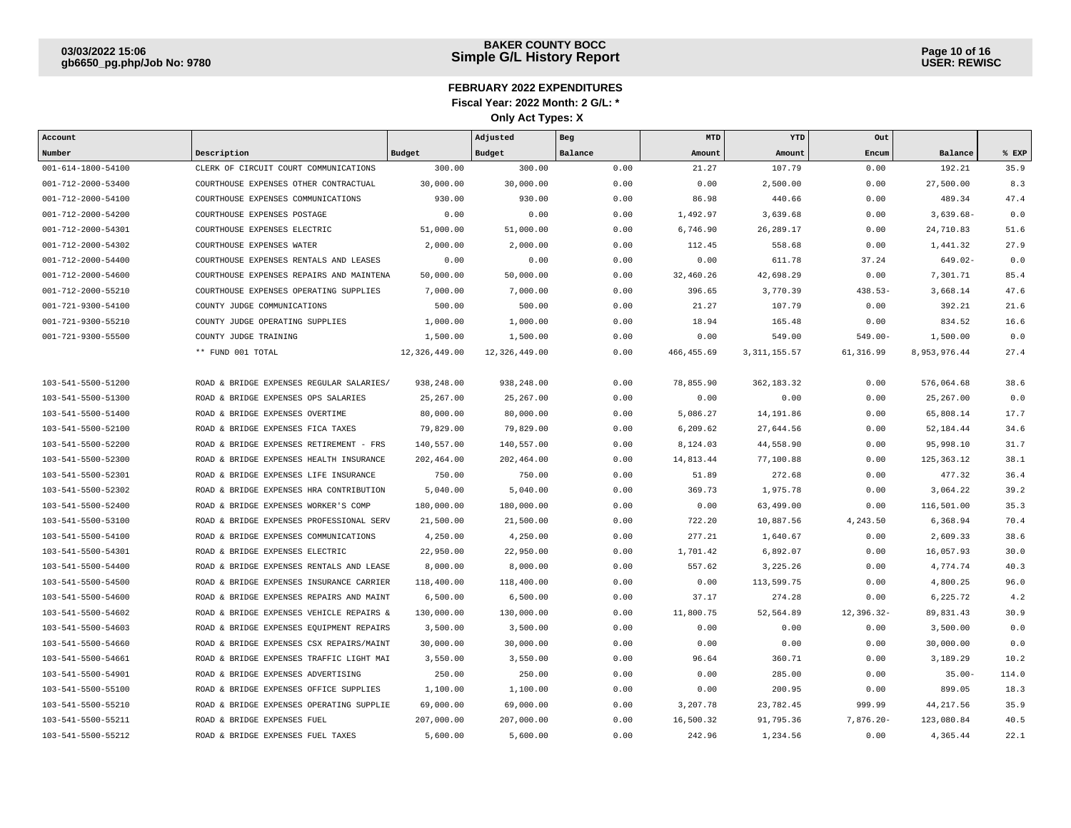| Account                    |                                          |               | Adjusted      | Beg     | <b>MTD</b>  | YTD            | Out        |              |       |
|----------------------------|------------------------------------------|---------------|---------------|---------|-------------|----------------|------------|--------------|-------|
| Number                     | Description                              | <b>Budget</b> | Budget        | Balance | Amount      | Amount         | Encum      | Balance      | % EXP |
| $001 - 614 - 1800 - 54100$ | CLERK OF CIRCUIT COURT COMMUNICATIONS    | 300.00        | 300.00        | 0.00    | 21.27       | 107.79         | 0.00       | 192.21       | 35.9  |
| 001-712-2000-53400         | COURTHOUSE EXPENSES OTHER CONTRACTUAL    | 30,000.00     | 30,000.00     | 0.00    | 0.00        | 2,500.00       | 0.00       | 27,500.00    | 8.3   |
| 001-712-2000-54100         | COURTHOUSE EXPENSES COMMUNICATIONS       | 930.00        | 930.00        | 0.00    | 86.98       | 440.66         | 0.00       | 489.34       | 47.4  |
| 001-712-2000-54200         | COURTHOUSE EXPENSES POSTAGE              | 0.00          | 0.00          | 0.00    | 1,492.97    | 3,639.68       | 0.00       | $3,639.68-$  | 0.0   |
| 001-712-2000-54301         | COURTHOUSE EXPENSES ELECTRIC             | 51,000.00     | 51,000.00     | 0.00    | 6,746.90    | 26, 289. 17    | 0.00       | 24,710.83    | 51.6  |
| 001-712-2000-54302         | COURTHOUSE EXPENSES WATER                | 2.000.00      | 2,000.00      | 0.00    | 112.45      | 558.68         | 0.00       | 1,441.32     | 27.9  |
| 001-712-2000-54400         | COURTHOUSE EXPENSES RENTALS AND LEASES   | 0.00          | 0.00          | 0.00    | 0.00        | 611.78         | 37.24      | $649.02 -$   | 0.0   |
| 001-712-2000-54600         | COURTHOUSE EXPENSES REPAIRS AND MAINTENA | 50,000.00     | 50,000.00     | 0.00    | 32,460.26   | 42,698.29      | 0.00       | 7,301.71     | 85.4  |
| 001-712-2000-55210         | COURTHOUSE EXPENSES OPERATING SUPPLIES   | 7,000.00      | 7,000.00      | 0.00    | 396.65      | 3,770.39       | 438.53-    | 3,668.14     | 47.6  |
| 001-721-9300-54100         | COUNTY JUDGE COMMUNICATIONS              | 500.00        | 500.00        | 0.00    | 21.27       | 107.79         | 0.00       | 392.21       | 21.6  |
| 001-721-9300-55210         | COUNTY JUDGE OPERATING SUPPLIES          | 1,000.00      | 1,000.00      | 0.00    | 18.94       | 165.48         | 0.00       | 834.52       | 16.6  |
| 001-721-9300-55500         | COUNTY JUDGE TRAINING                    | 1,500.00      | 1,500.00      | 0.00    | 0.00        | 549.00         | $549.00 -$ | 1,500.00     | 0.0   |
|                            | ** FUND 001 TOTAL                        | 12,326,449.00 | 12,326,449.00 | 0.00    | 466, 455.69 | 3, 311, 155.57 | 61,316.99  | 8,953,976.44 | 27.4  |
|                            |                                          |               |               |         |             |                |            |              |       |
| 103-541-5500-51200         | ROAD & BRIDGE EXPENSES REGULAR SALARIES  | 938,248.00    | 938,248.00    | 0.00    | 78,855.90   | 362, 183.32    | 0.00       | 576,064.68   | 38.6  |
| 103-541-5500-51300         | ROAD & BRIDGE EXPENSES OPS SALARIES      | 25, 267.00    | 25, 267.00    | 0.00    | 0.00        | 0.00           | 0.00       | 25, 267.00   | 0.0   |
| 103-541-5500-51400         | ROAD & BRIDGE EXPENSES OVERTIME          | 80,000.00     | 80,000.00     | 0.00    | 5,086.27    | 14,191.86      | 0.00       | 65,808.14    | 17.7  |
| 103-541-5500-52100         | ROAD & BRIDGE EXPENSES FICA TAXES        | 79,829.00     | 79,829.00     | 0.00    | 6,209.62    | 27,644.56      | 0.00       | 52,184.44    | 34.6  |
| 103-541-5500-52200         | ROAD & BRIDGE EXPENSES RETIREMENT - FRS  | 140.557.00    | 140,557.00    | 0.00    | 8,124.03    | 44,558.90      | 0.00       | 95,998.10    | 31.7  |
| 103-541-5500-52300         | ROAD & BRIDGE EXPENSES HEALTH INSURANCE  | 202,464.00    | 202,464.00    | 0.00    | 14,813.44   | 77,100.88      | 0.00       | 125, 363. 12 | 38.1  |
| 103-541-5500-52301         | ROAD & BRIDGE EXPENSES LIFE INSURANCE    | 750.00        | 750.00        | 0.00    | 51.89       | 272.68         | 0.00       | 477.32       | 36.4  |
| 103-541-5500-52302         | ROAD & BRIDGE EXPENSES HRA CONTRIBUTION  | 5,040.00      | 5,040.00      | 0.00    | 369.73      | 1,975.78       | 0.00       | 3,064.22     | 39.2  |
| 103-541-5500-52400         | ROAD & BRIDGE EXPENSES WORKER'S COMP     | 180,000.00    | 180,000.00    | 0.00    | 0.00        | 63,499.00      | 0.00       | 116,501.00   | 35.3  |
| 103-541-5500-53100         | ROAD & BRIDGE EXPENSES PROFESSIONAL SERV | 21,500.00     | 21,500.00     | 0.00    | 722.20      | 10,887.56      | 4,243.50   | 6,368.94     | 70.4  |
| 103-541-5500-54100         | ROAD & BRIDGE EXPENSES COMMUNICATIONS    | 4,250.00      | 4,250.00      | 0.00    | 277.21      | 1,640.67       | 0.00       | 2,609.33     | 38.6  |
| 103-541-5500-54301         | ROAD & BRIDGE EXPENSES ELECTRIC          | 22,950.00     | 22,950.00     | 0.00    | 1,701.42    | 6,892.07       | 0.00       | 16,057.93    | 30.0  |
| 103-541-5500-54400         | ROAD & BRIDGE EXPENSES RENTALS AND LEASE | 8,000.00      | 8,000.00      | 0.00    | 557.62      | 3,225.26       | 0.00       | 4,774.74     | 40.3  |
| 103-541-5500-54500         | ROAD & BRIDGE EXPENSES INSURANCE CARRIER | 118,400.00    | 118,400.00    | 0.00    | 0.00        | 113,599.75     | 0.00       | 4,800.25     | 96.0  |
| 103-541-5500-54600         | ROAD & BRIDGE EXPENSES REPAIRS AND MAINT | 6,500.00      | 6,500.00      | 0.00    | 37.17       | 274.28         | 0.00       | 6,225.72     | 4.2   |
| 103-541-5500-54602         | ROAD & BRIDGE EXPENSES VEHICLE REPAIRS & | 130,000.00    | 130,000.00    | 0.00    | 11,800.75   | 52,564.89      | 12,396.32- | 89,831.43    | 30.9  |
| 103-541-5500-54603         | ROAD & BRIDGE EXPENSES EQUIPMENT REPAIRS | 3,500.00      | 3,500.00      | 0.00    | 0.00        | 0.00           | 0.00       | 3,500.00     | 0.0   |
| 103-541-5500-54660         | ROAD & BRIDGE EXPENSES CSX REPAIRS/MAINT | 30,000.00     | 30,000.00     | 0.00    | 0.00        | 0.00           | 0.00       | 30,000.00    | 0.0   |
| 103-541-5500-54661         | ROAD & BRIDGE EXPENSES TRAFFIC LIGHT MAI | 3,550.00      | 3,550.00      | 0.00    | 96.64       | 360.71         | 0.00       | 3,189.29     | 10.2  |
| 103-541-5500-54901         | ROAD & BRIDGE EXPENSES ADVERTISING       | 250.00        | 250.00        | 0.00    | 0.00        | 285.00         | 0.00       | $35.00 -$    | 114.0 |
| 103-541-5500-55100         | ROAD & BRIDGE EXPENSES OFFICE SUPPLIES   | 1,100.00      | 1,100.00      | 0.00    | 0.00        | 200.95         | 0.00       | 899.05       | 18.3  |
| 103-541-5500-55210         | ROAD & BRIDGE EXPENSES OPERATING SUPPLIE | 69,000.00     | 69,000.00     | 0.00    | 3,207.78    | 23,782.45      | 999.99     | 44, 217.56   | 35.9  |
| 103-541-5500-55211         | ROAD & BRIDGE EXPENSES FUEL              | 207,000.00    | 207,000.00    | 0.00    | 16,500.32   | 91,795.36      | 7,876.20-  | 123,080.84   | 40.5  |
| 103-541-5500-55212         | ROAD & BRIDGE EXPENSES FUEL TAXES        | 5,600.00      | 5,600.00      | 0.00    | 242.96      | 1,234.56       | 0.00       | 4,365.44     | 22.1  |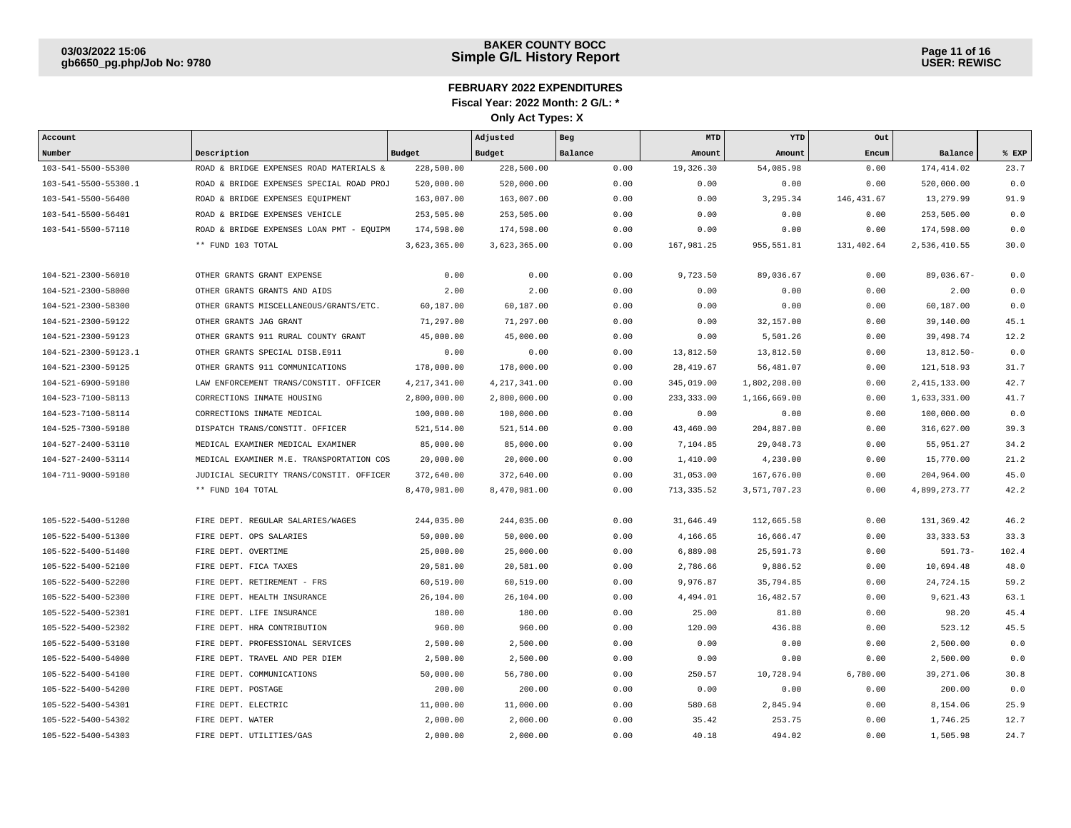| Account              |                                          |                | Adjusted       | Beg     | MTD         | YTD          | Out          |                |       |
|----------------------|------------------------------------------|----------------|----------------|---------|-------------|--------------|--------------|----------------|-------|
| Number               | Description                              | Budget         | Budget         | Balance | Amount      | Amount       | Encum        | Balance        | % EXP |
| 103-541-5500-55300   | ROAD & BRIDGE EXPENSES ROAD MATERIALS &  | 228,500.00     | 228,500.00     | 0.00    | 19,326.30   | 54,085.98    | 0.00         | 174, 414.02    | 23.7  |
| 103-541-5500-55300.1 | ROAD & BRIDGE EXPENSES SPECIAL ROAD PROJ | 520,000.00     | 520,000.00     | 0.00    | 0.00        | 0.00         | 0.00         | 520,000.00     | 0.0   |
| 103-541-5500-56400   | ROAD & BRIDGE EXPENSES EQUIPMENT         | 163,007.00     | 163,007.00     | 0.00    | 0.00        | 3,295.34     | 146, 431, 67 | 13,279.99      | 91.9  |
| 103-541-5500-56401   | ROAD & BRIDGE EXPENSES VEHICLE           | 253,505.00     | 253,505.00     | 0.00    | 0.00        | 0.00         | 0.00         | 253,505.00     | 0.0   |
| 103-541-5500-57110   | ROAD & BRIDGE EXPENSES LOAN PMT - EQUIPM | 174,598.00     | 174,598.00     | 0.00    | 0.00        | 0.00         | 0.00         | 174,598.00     | 0.0   |
|                      | ** FUND 103 TOTAL                        | 3,623,365.00   | 3,623,365.00   | 0.00    | 167,981.25  | 955, 551.81  | 131,402.64   | 2,536,410.55   | 30.0  |
|                      |                                          |                |                |         |             |              |              |                |       |
| 104-521-2300-56010   | OTHER GRANTS GRANT EXPENSE               | 0.00           | 0.00           | 0.00    | 9,723.50    | 89,036.67    | 0.00         | $89,036.67-$   | 0.0   |
| 104-521-2300-58000   | OTHER GRANTS GRANTS AND AIDS             | 2.00           | 2.00           | 0.00    | 0.00        | 0.00         | 0.00         | 2.00           | 0.0   |
| 104-521-2300-58300   | OTHER GRANTS MISCELLANEOUS/GRANTS/ETC.   | 60,187.00      | 60,187.00      | 0.00    | 0.00        | 0.00         | 0.00         | 60,187.00      | 0.0   |
| 104-521-2300-59122   | OTHER GRANTS JAG GRANT                   | 71,297.00      | 71,297.00      | 0.00    | 0.00        | 32,157.00    | 0.00         | 39,140.00      | 45.1  |
| 104-521-2300-59123   | OTHER GRANTS 911 RURAL COUNTY GRANT      | 45,000.00      | 45,000.00      | 0.00    | 0.00        | 5,501.26     | 0.00         | 39,498.74      | 12.2  |
| 104-521-2300-59123.1 | OTHER GRANTS SPECIAL DISB.E911           | 0.00           | 0.00           | 0.00    | 13,812.50   | 13,812.50    | 0.00         | 13,812.50-     | 0.0   |
| 104-521-2300-59125   | OTHER GRANTS 911 COMMUNICATIONS          | 178,000.00     | 178,000.00     | 0.00    | 28, 419.67  | 56,481.07    | 0.00         | 121,518.93     | 31.7  |
| 104-521-6900-59180   | LAW ENFORCEMENT TRANS/CONSTIT. OFFICER   | 4, 217, 341.00 | 4, 217, 341.00 | 0.00    | 345,019.00  | 1,802,208.00 | 0.00         | 2, 415, 133.00 | 42.7  |
| 104-523-7100-58113   | CORRECTIONS INMATE HOUSING               | 2,800,000.00   | 2,800,000.00   | 0.00    | 233, 333.00 | 1,166,669.00 | 0.00         | 1,633,331.00   | 41.7  |
| 104-523-7100-58114   | CORRECTIONS INMATE MEDICAL               | 100,000.00     | 100,000.00     | 0.00    | 0.00        | 0.00         | 0.00         | 100,000.00     | 0.0   |
| 104-525-7300-59180   | DISPATCH TRANS/CONSTIT. OFFICER          | 521,514.00     | 521,514.00     | 0.00    | 43,460.00   | 204,887.00   | 0.00         | 316,627.00     | 39.3  |
| 104-527-2400-53110   | MEDICAL EXAMINER MEDICAL EXAMINER        | 85,000.00      | 85,000.00      | 0.00    | 7,104.85    | 29,048.73    | 0.00         | 55,951.27      | 34.2  |
| 104-527-2400-53114   | MEDICAL EXAMINER M.E. TRANSPORTATION COS | 20,000.00      | 20,000.00      | 0.00    | 1,410.00    | 4,230.00     | 0.00         | 15,770.00      | 21.2  |
| 104-711-9000-59180   | JUDICIAL SECURITY TRANS/CONSTIT. OFFICER | 372,640.00     | 372,640.00     | 0.00    | 31,053.00   | 167,676.00   | 0.00         | 204,964.00     | 45.0  |
|                      | ** FUND 104 TOTAL                        | 8,470,981.00   | 8,470,981.00   | 0.00    | 713, 335.52 | 3,571,707.23 | 0.00         | 4,899,273.77   | 42.2  |
|                      |                                          |                |                |         |             |              |              |                |       |
| 105-522-5400-51200   | FIRE DEPT. REGULAR SALARIES/WAGES        | 244,035.00     | 244,035.00     | 0.00    | 31,646.49   | 112,665.58   | 0.00         | 131,369.42     | 46.2  |
| 105-522-5400-51300   | FIRE DEPT. OPS SALARIES                  | 50,000.00      | 50,000.00      | 0.00    | 4,166.65    | 16,666.47    | 0.00         | 33, 333.53     | 33.3  |
| 105-522-5400-51400   | FIRE DEPT. OVERTIME                      | 25,000.00      | 25,000.00      | 0.00    | 6,889.08    | 25,591.73    | 0.00         | $591.73-$      | 102.4 |
| 105-522-5400-52100   | FIRE DEPT. FICA TAXES                    | 20,581.00      | 20,581.00      | 0.00    | 2,786.66    | 9,886.52     | 0.00         | 10,694.48      | 48.0  |
| 105-522-5400-52200   | FIRE DEPT. RETIREMENT - FRS              | 60,519.00      | 60,519.00      | 0.00    | 9,976.87    | 35,794.85    | 0.00         | 24,724.15      | 59.2  |
| 105-522-5400-52300   | FIRE DEPT. HEALTH INSURANCE              | 26,104.00      | 26,104.00      | 0.00    | 4,494.01    | 16,482.57    | 0.00         | 9,621.43       | 63.1  |
| 105-522-5400-52301   | FIRE DEPT. LIFE INSURANCE                | 180.00         | 180.00         | 0.00    | 25.00       | 81.80        | 0.00         | 98.20          | 45.4  |
| 105-522-5400-52302   | FIRE DEPT. HRA CONTRIBUTION              | 960.00         | 960.00         | 0.00    | 120.00      | 436.88       | 0.00         | 523.12         | 45.5  |
| 105-522-5400-53100   | FIRE DEPT. PROFESSIONAL SERVICES         | 2,500.00       | 2,500.00       | 0.00    | 0.00        | 0.00         | 0.00         | 2,500.00       | 0.0   |
| 105-522-5400-54000   | FIRE DEPT. TRAVEL AND PER DIEM           | 2,500.00       | 2,500.00       | 0.00    | 0.00        | 0.00         | 0.00         | 2,500.00       | 0.0   |
| 105-522-5400-54100   | FIRE DEPT. COMMUNICATIONS                | 50,000.00      | 56,780.00      | 0.00    | 250.57      | 10,728.94    | 6,780.00     | 39,271.06      | 30.8  |
| 105-522-5400-54200   | FIRE DEPT. POSTAGE                       | 200.00         | 200.00         | 0.00    | 0.00        | 0.00         | 0.00         | 200.00         | 0.0   |
| 105-522-5400-54301   | FIRE DEPT. ELECTRIC                      | 11,000.00      | 11,000.00      | 0.00    | 580.68      | 2,845.94     | 0.00         | 8,154.06       | 25.9  |
| 105-522-5400-54302   | FIRE DEPT. WATER                         | 2,000.00       | 2,000.00       | 0.00    | 35.42       | 253.75       | 0.00         | 1,746.25       | 12.7  |
| 105-522-5400-54303   | FIRE DEPT. UTILITIES/GAS                 | 2,000.00       | 2,000.00       | 0.00    | 40.18       | 494.02       | 0.00         | 1,505.98       | 24.7  |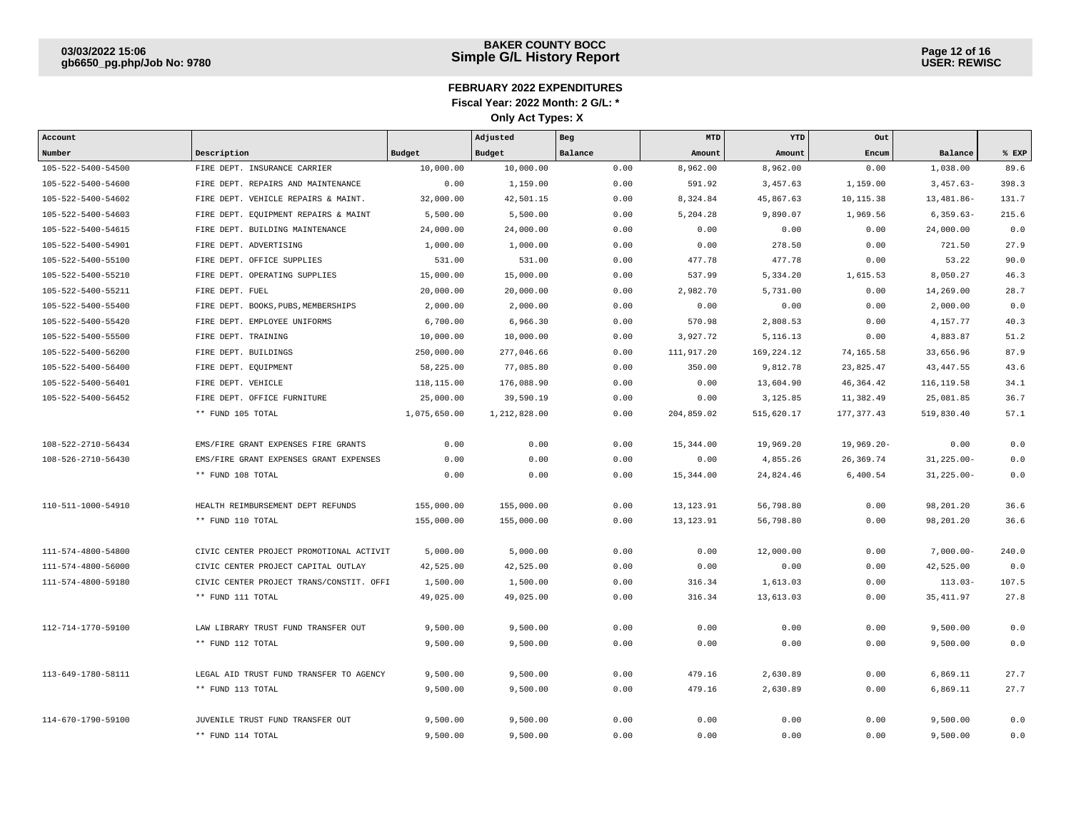| Account            |                                          |               | Adjusted     | Beg     | <b>MTD</b>  | YTD        | Out           |                |       |
|--------------------|------------------------------------------|---------------|--------------|---------|-------------|------------|---------------|----------------|-------|
| Number             | Description                              | <b>Budget</b> | Budget       | Balance | Amount      | Amount     | Encum         | Balance        | % EXP |
| 105-522-5400-54500 | FIRE DEPT. INSURANCE CARRIER             | 10,000.00     | 10,000.00    | 0.00    | 8,962.00    | 8,962.00   | 0.00          | 1,038.00       | 89.6  |
| 105-522-5400-54600 | FIRE DEPT. REPAIRS AND MAINTENANCE       | 0.00          | 1,159.00     | 0.00    | 591.92      | 3,457.63   | 1,159.00      | $3,457.63-$    | 398.3 |
| 105-522-5400-54602 | FIRE DEPT. VEHICLE REPAIRS & MAINT.      | 32,000.00     | 42,501.15    | 0.00    | 8,324.84    | 45,867.63  | 10,115.38     | 13,481.86-     | 131.7 |
| 105-522-5400-54603 | FIRE DEPT. EQUIPMENT REPAIRS & MAINT     | 5,500.00      | 5,500.00     | 0.00    | 5,204.28    | 9,890.07   | 1,969.56      | $6,359.63-$    | 215.6 |
| 105-522-5400-54615 | FIRE DEPT. BUILDING MAINTENANCE          | 24,000.00     | 24,000.00    | 0.00    | 0.00        | 0.00       | 0.00          | 24,000.00      | 0.0   |
| 105-522-5400-54901 | FIRE DEPT. ADVERTISING                   | 1,000.00      | 1,000.00     | 0.00    | 0.00        | 278.50     | 0.00          | 721.50         | 27.9  |
| 105-522-5400-55100 | FIRE DEPT. OFFICE SUPPLIES               | 531.00        | 531.00       | 0.00    | 477.78      | 477.78     | 0.00          | 53.22          | 90.0  |
| 105-522-5400-55210 | FIRE DEPT. OPERATING SUPPLIES            | 15,000.00     | 15,000.00    | 0.00    | 537.99      | 5,334.20   | 1,615.53      | 8,050.27       | 46.3  |
| 105-522-5400-55211 | FIRE DEPT. FUEL                          | 20,000.00     | 20,000.00    | 0.00    | 2,982.70    | 5,731.00   | 0.00          | 14,269.00      | 28.7  |
| 105-522-5400-55400 | FIRE DEPT. BOOKS, PUBS, MEMBERSHIPS      | 2,000.00      | 2,000.00     | 0.00    | 0.00        | 0.00       | 0.00          | 2,000.00       | 0.0   |
| 105-522-5400-55420 | FIRE DEPT. EMPLOYEE UNIFORMS             | 6,700.00      | 6,966.30     | 0.00    | 570.98      | 2,808.53   | 0.00          | 4,157.77       | 40.3  |
| 105-522-5400-55500 | FIRE DEPT. TRAINING                      | 10,000.00     | 10,000.00    | 0.00    | 3,927.72    | 5, 116. 13 | 0.00          | 4,883.87       | 51.2  |
| 105-522-5400-56200 | FIRE DEPT. BUILDINGS                     | 250,000.00    | 277,046.66   | 0.00    | 111,917.20  | 169,224.12 | 74,165.58     | 33,656.96      | 87.9  |
| 105-522-5400-56400 | FIRE DEPT. EQUIPMENT                     | 58,225.00     | 77,085.80    | 0.00    | 350.00      | 9,812.78   | 23,825.47     | 43, 447.55     | 43.6  |
| 105-522-5400-56401 | FIRE DEPT. VEHICLE                       | 118,115.00    | 176,088.90   | 0.00    | 0.00        | 13,604.90  | 46, 364. 42   | 116, 119.58    | 34.1  |
| 105-522-5400-56452 | FIRE DEPT. OFFICE FURNITURE              | 25,000.00     | 39,590.19    | 0.00    | 0.00        | 3,125.85   | 11,382.49     | 25,081.85      | 36.7  |
|                    | ** FUND 105 TOTAL                        | 1,075,650.00  | 1,212,828.00 | 0.00    | 204,859.02  | 515,620.17 | 177, 377.43   | 519,830.40     | 57.1  |
|                    |                                          |               |              |         |             |            |               |                |       |
| 108-522-2710-56434 | EMS/FIRE GRANT EXPENSES FIRE GRANTS      | 0.00          | 0.00         | 0.00    | 15,344.00   | 19,969.20  | $19,969.20 -$ | 0.00           | 0.0   |
| 108-526-2710-56430 | EMS/FIRE GRANT EXPENSES GRANT EXPENSES   | 0.00          | 0.00         | 0.00    | 0.00        | 4,855.26   | 26,369.74     | $31, 225.00 -$ | 0.0   |
|                    | ** FUND 108 TOTAL                        | 0.00          | 0.00         | 0.00    | 15,344.00   | 24,824.46  | 6,400.54      | $31, 225.00 -$ | 0.0   |
|                    |                                          |               |              |         |             |            |               |                |       |
| 110-511-1000-54910 | HEALTH REIMBURSEMENT DEPT REFUNDS        | 155,000.00    | 155,000.00   | 0.00    | 13, 123. 91 | 56,798.80  | 0.00          | 98,201.20      | 36.6  |
|                    | ** FUND 110 TOTAL                        | 155,000.00    | 155,000.00   | 0.00    | 13, 123. 91 | 56,798.80  | 0.00          | 98,201.20      | 36.6  |
|                    |                                          |               |              |         |             |            |               |                |       |
| 111-574-4800-54800 | CIVIC CENTER PROJECT PROMOTIONAL ACTIVIT | 5,000.00      | 5,000.00     | 0.00    | 0.00        | 12,000.00  | 0.00          | $7,000.00-$    | 240.0 |
| 111-574-4800-56000 | CIVIC CENTER PROJECT CAPITAL OUTLAY      | 42,525.00     | 42,525.00    | 0.00    | 0.00        | 0.00       | 0.00          | 42,525.00      | 0.0   |
| 111-574-4800-59180 | CIVIC CENTER PROJECT TRANS/CONSTIT. OFFI | 1,500.00      | 1,500.00     | 0.00    | 316.34      | 1,613.03   | 0.00          | $113.03-$      | 107.5 |
|                    | ** FUND 111 TOTAL                        | 49,025.00     | 49,025.00    | 0.00    | 316.34      | 13,613.03  | 0.00          | 35, 411.97     | 27.8  |
|                    |                                          |               |              |         |             |            |               |                |       |
| 112-714-1770-59100 | LAW LIBRARY TRUST FUND TRANSFER OUT      | 9,500.00      | 9,500.00     | 0.00    | 0.00        | 0.00       | 0.00          | 9,500.00       | 0.0   |
|                    | ** FUND 112 TOTAL                        | 9,500.00      | 9,500.00     | 0.00    | 0.00        | 0.00       | 0.00          | 9,500.00       | 0.0   |
|                    |                                          |               |              |         |             |            |               |                |       |
| 113-649-1780-58111 | LEGAL AID TRUST FUND TRANSFER TO AGENCY  | 9,500.00      | 9,500.00     | 0.00    | 479.16      | 2,630.89   | 0.00          | 6,869.11       | 27.7  |
|                    | ** FUND 113 TOTAL                        | 9,500.00      | 9,500.00     | 0.00    | 479.16      | 2,630.89   | 0.00          | 6,869.11       | 27.7  |
|                    |                                          |               |              |         |             |            |               |                |       |
| 114-670-1790-59100 | JUVENILE TRUST FUND TRANSFER OUT         | 9,500.00      | 9,500.00     | 0.00    | 0.00        | 0.00       | 0.00          | 9,500.00       | 0.0   |
|                    | ** FUND 114 TOTAL                        | 9,500.00      | 9,500.00     | 0.00    | 0.00        | 0.00       | 0.00          | 9,500.00       | 0.0   |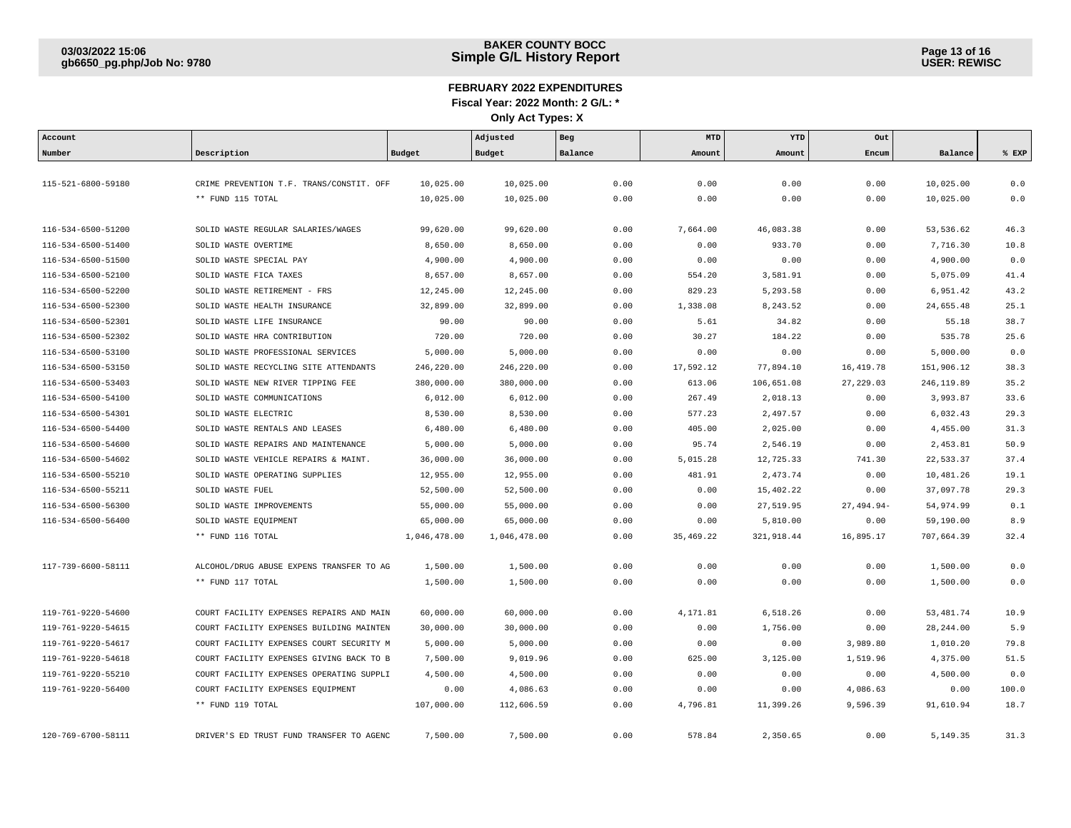| Account            |                                          |              | Adjusted     | Beg     | MTD       | YTD        | Out          |             |       |
|--------------------|------------------------------------------|--------------|--------------|---------|-----------|------------|--------------|-------------|-------|
| Number             | Description                              | Budget       | Budget       | Balance | Amount    | Amount     | Encum        | Balance     | % EXP |
|                    |                                          |              |              |         |           |            |              |             |       |
| 115-521-6800-59180 | CRIME PREVENTION T.F. TRANS/CONSTIT. OFF | 10,025.00    | 10,025.00    | 0.00    | 0.00      | 0.00       | 0.00         | 10,025.00   | 0.0   |
|                    | ** FUND 115 TOTAL                        | 10,025.00    | 10,025.00    | 0.00    | 0.00      | 0.00       | 0.00         | 10,025.00   | 0.0   |
|                    |                                          |              |              |         |           |            |              |             |       |
| 116-534-6500-51200 | SOLID WASTE REGULAR SALARIES/WAGES       | 99,620.00    | 99,620.00    | 0.00    | 7,664.00  | 46,083.38  | 0.00         | 53,536.62   | 46.3  |
| 116-534-6500-51400 | SOLID WASTE OVERTIME                     | 8,650.00     | 8,650.00     | 0.00    | 0.00      | 933.70     | 0.00         | 7,716.30    | 10.8  |
| 116-534-6500-51500 | SOLID WASTE SPECIAL PAY                  | 4,900.00     | 4,900.00     | 0.00    | 0.00      | 0.00       | 0.00         | 4,900.00    | 0.0   |
| 116-534-6500-52100 | SOLID WASTE FICA TAXES                   | 8,657.00     | 8,657.00     | 0.00    | 554.20    | 3,581.91   | 0.00         | 5,075.09    | 41.4  |
| 116-534-6500-52200 | SOLID WASTE RETIREMENT - FRS             | 12,245.00    | 12,245.00    | 0.00    | 829.23    | 5,293.58   | 0.00         | 6,951.42    | 43.2  |
| 116-534-6500-52300 | SOLID WASTE HEALTH INSURANCE             | 32,899.00    | 32,899.00    | 0.00    | 1,338.08  | 8,243.52   | 0.00         | 24,655.48   | 25.1  |
| 116-534-6500-52301 | SOLID WASTE LIFE INSURANCE               | 90.00        | 90.00        | 0.00    | 5.61      | 34.82      | 0.00         | 55.18       | 38.7  |
| 116-534-6500-52302 | SOLID WASTE HRA CONTRIBUTION             | 720.00       | 720.00       | 0.00    | 30.27     | 184.22     | 0.00         | 535.78      | 25.6  |
| 116-534-6500-53100 | SOLID WASTE PROFESSIONAL SERVICES        | 5,000.00     | 5,000.00     | 0.00    | 0.00      | 0.00       | 0.00         | 5,000.00    | 0.0   |
| 116-534-6500-53150 | SOLID WASTE RECYCLING SITE ATTENDANTS    | 246,220.00   | 246,220.00   | 0.00    | 17,592.12 | 77,894.10  | 16,419.78    | 151,906.12  | 38.3  |
| 116-534-6500-53403 | SOLID WASTE NEW RIVER TIPPING FEE        | 380,000.00   | 380,000.00   | 0.00    | 613.06    | 106,651.08 | 27,229.03    | 246, 119.89 | 35.2  |
| 116-534-6500-54100 | SOLID WASTE COMMUNICATIONS               | 6,012.00     | 6,012.00     | 0.00    | 267.49    | 2,018.13   | 0.00         | 3,993.87    | 33.6  |
| 116-534-6500-54301 | SOLID WASTE ELECTRIC                     | 8,530.00     | 8,530.00     | 0.00    | 577.23    | 2,497.57   | 0.00         | 6,032.43    | 29.3  |
| 116-534-6500-54400 | SOLID WASTE RENTALS AND LEASES           | 6,480.00     | 6,480.00     | 0.00    | 405.00    | 2,025.00   | 0.00         | 4,455.00    | 31.3  |
| 116-534-6500-54600 | SOLID WASTE REPAIRS AND MAINTENANCE      | 5,000.00     | 5,000.00     | 0.00    | 95.74     | 2,546.19   | 0.00         | 2,453.81    | 50.9  |
| 116-534-6500-54602 | SOLID WASTE VEHICLE REPAIRS & MAINT.     | 36,000.00    | 36,000.00    | 0.00    | 5,015.28  | 12,725.33  | 741.30       | 22,533.37   | 37.4  |
| 116-534-6500-55210 | SOLID WASTE OPERATING SUPPLIES           | 12,955.00    | 12,955.00    | 0.00    | 481.91    | 2,473.74   | 0.00         | 10,481.26   | 19.1  |
| 116-534-6500-55211 | SOLID WASTE FUEL                         | 52,500.00    | 52,500.00    | 0.00    | 0.00      | 15,402.22  | 0.00         | 37,097.78   | 29.3  |
| 116-534-6500-56300 | SOLID WASTE IMPROVEMENTS                 | 55,000.00    | 55,000.00    | 0.00    | 0.00      | 27,519.95  | $27,494.94-$ | 54,974.99   | 0.1   |
| 116-534-6500-56400 | SOLID WASTE EQUIPMENT                    | 65,000.00    | 65,000.00    | 0.00    | 0.00      | 5,810.00   | 0.00         | 59,190.00   | 8.9   |
|                    | ** FUND 116 TOTAL                        | 1,046,478.00 | 1,046,478.00 | 0.00    | 35,469.22 | 321,918.44 | 16,895.17    | 707,664.39  | 32.4  |
|                    |                                          |              |              |         |           |            |              |             |       |
| 117-739-6600-58111 | ALCOHOL/DRUG ABUSE EXPENS TRANSFER TO AG | 1,500.00     | 1,500.00     | 0.00    | 0.00      | 0.00       | 0.00         | 1,500.00    | 0.0   |
|                    | ** FUND 117 TOTAL                        | 1,500.00     | 1,500.00     | 0.00    | 0.00      | 0.00       | 0.00         | 1,500.00    | 0.0   |
|                    |                                          |              |              |         |           |            |              |             |       |
| 119-761-9220-54600 | COURT FACILITY EXPENSES REPAIRS AND MAIN | 60,000.00    | 60,000.00    | 0.00    | 4,171.81  | 6,518.26   | 0.00         | 53,481.74   | 10.9  |
| 119-761-9220-54615 | COURT FACILITY EXPENSES BUILDING MAINTEN | 30,000.00    | 30,000.00    | 0.00    | 0.00      | 1,756.00   | 0.00         | 28, 244.00  | 5.9   |
| 119-761-9220-54617 | COURT FACILITY EXPENSES COURT SECURITY M | 5,000.00     | 5,000.00     | 0.00    | 0.00      | 0.00       | 3,989.80     | 1,010.20    | 79.8  |
| 119-761-9220-54618 | COURT FACILITY EXPENSES GIVING BACK TO B | 7,500.00     | 9,019.96     | 0.00    | 625.00    | 3,125.00   | 1,519.96     | 4,375.00    | 51.5  |
| 119-761-9220-55210 | COURT FACILITY EXPENSES OPERATING SUPPLI | 4,500.00     | 4,500.00     | 0.00    | 0.00      | 0.00       | 0.00         | 4,500.00    | 0.0   |
| 119-761-9220-56400 | COURT FACILITY EXPENSES EQUIPMENT        | 0.00         | 4,086.63     | 0.00    | 0.00      | 0.00       | 4,086.63     | 0.00        | 100.0 |
|                    | ** FUND 119 TOTAL                        | 107,000.00   | 112,606.59   | 0.00    | 4,796.81  | 11,399.26  | 9,596.39     | 91,610.94   | 18.7  |
|                    |                                          |              |              |         |           |            |              |             |       |
| 120-769-6700-58111 | DRIVER'S ED TRUST FUND TRANSFER TO AGENC | 7,500.00     | 7,500.00     | 0.00    | 578.84    | 2,350.65   | 0.00         | 5,149.35    | 31.3  |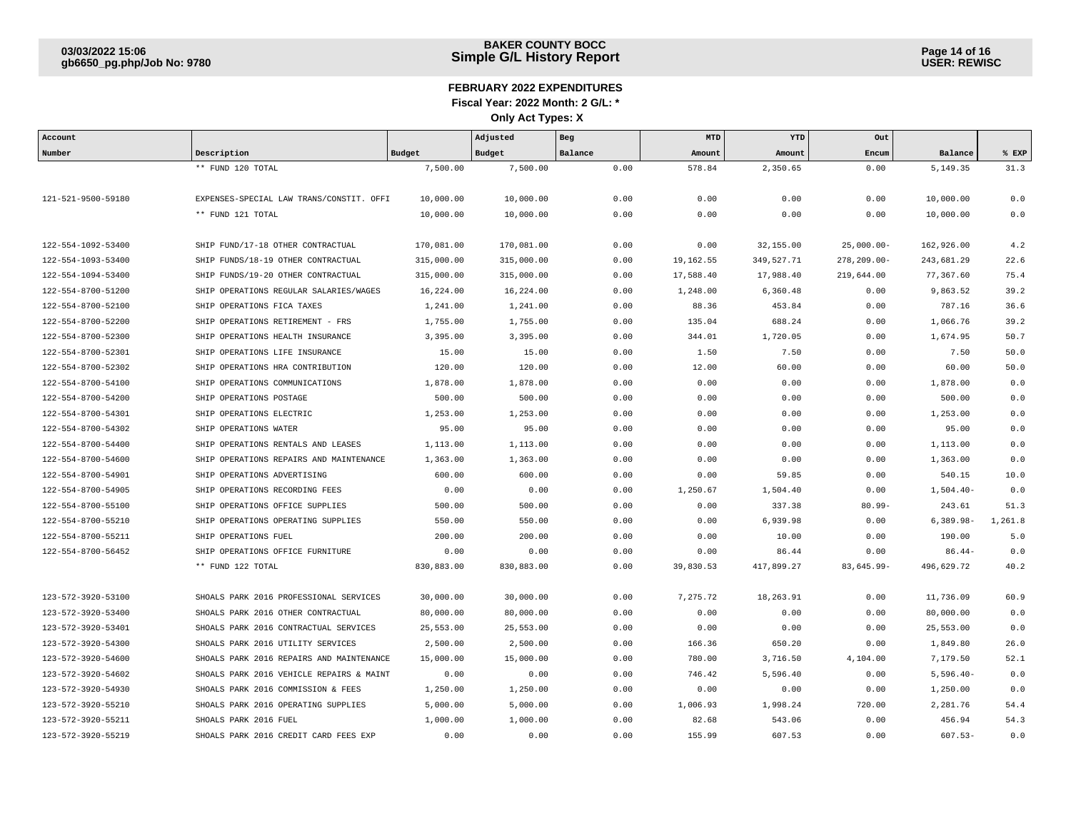| Account            |                                          |            | Adjusted   | Beg     | MTD       | YTD        | Out             |              |         |
|--------------------|------------------------------------------|------------|------------|---------|-----------|------------|-----------------|--------------|---------|
| Number             | Description                              | Budget     | Budget     | Balance | Amount    | Amount     | Encum           | Balance      | EXP     |
|                    | ** FUND 120 TOTAL                        | 7,500.00   | 7,500.00   | 0.00    | 578.84    | 2,350.65   | 0.00            | 5,149.35     | 31.3    |
|                    |                                          |            |            |         |           |            |                 |              |         |
| 121-521-9500-59180 | EXPENSES-SPECIAL LAW TRANS/CONSTIT. OFFI | 10,000.00  | 10,000.00  | 0.00    | 0.00      | 0.00       | 0.00            | 10,000.00    | 0.0     |
|                    | ** FUND 121 TOTAL                        | 10,000.00  | 10,000.00  | 0.00    | 0.00      | 0.00       | 0.00            | 10,000.00    | 0.0     |
|                    |                                          |            |            |         |           |            |                 |              |         |
| 122-554-1092-53400 | SHIP FUND/17-18 OTHER CONTRACTUAL        | 170,081.00 | 170,081.00 | 0.00    | 0.00      | 32,155.00  | $25,000.00 -$   | 162,926.00   | 4.2     |
| 122-554-1093-53400 | SHIP FUNDS/18-19 OTHER CONTRACTUAL       | 315,000.00 | 315,000.00 | 0.00    | 19,162.55 | 349,527.71 | $278, 209.00 -$ | 243,681.29   | 22.6    |
| 122-554-1094-53400 | SHIP FUNDS/19-20 OTHER CONTRACTUAL       | 315,000.00 | 315,000.00 | 0.00    | 17,588.40 | 17,988.40  | 219,644.00      | 77,367.60    | 75.4    |
| 122-554-8700-51200 | SHIP OPERATIONS REGULAR SALARIES/WAGES   | 16,224.00  | 16,224.00  | 0.00    | 1,248.00  | 6,360.48   | 0.00            | 9,863.52     | 39.2    |
| 122-554-8700-52100 | SHIP OPERATIONS FICA TAXES               | 1,241.00   | 1,241.00   | 0.00    | 88.36     | 453.84     | 0.00            | 787.16       | 36.6    |
| 122-554-8700-52200 | SHIP OPERATIONS RETIREMENT - FRS         | 1,755.00   | 1,755.00   | 0.00    | 135.04    | 688.24     | 0.00            | 1,066.76     | 39.2    |
| 122-554-8700-52300 | SHIP OPERATIONS HEALTH INSURANCE         | 3,395.00   | 3,395.00   | 0.00    | 344.01    | 1,720.05   | 0.00            | 1,674.95     | 50.7    |
| 122-554-8700-52301 | SHIP OPERATIONS LIFE INSURANCE           | 15.00      | 15.00      | 0.00    | 1.50      | 7.50       | 0.00            | 7.50         | 50.0    |
| 122-554-8700-52302 | SHIP OPERATIONS HRA CONTRIBUTION         | 120.00     | 120.00     | 0.00    | 12.00     | 60.00      | 0.00            | 60.00        | 50.0    |
| 122-554-8700-54100 | SHIP OPERATIONS COMMUNICATIONS           | 1,878.00   | 1,878.00   | 0.00    | 0.00      | 0.00       | 0.00            | 1,878.00     | 0.0     |
| 122-554-8700-54200 | SHIP OPERATIONS POSTAGE                  | 500.00     | 500.00     | 0.00    | 0.00      | 0.00       | 0.00            | 500.00       | 0.0     |
| 122-554-8700-54301 | SHIP OPERATIONS ELECTRIC                 | 1,253.00   | 1,253.00   | 0.00    | 0.00      | 0.00       | 0.00            | 1,253.00     | 0.0     |
| 122-554-8700-54302 | SHIP OPERATIONS WATER                    | 95.00      | 95.00      | 0.00    | 0.00      | 0.00       | 0.00            | 95.00        | 0.0     |
| 122-554-8700-54400 | SHIP OPERATIONS RENTALS AND LEASES       | 1,113.00   | 1,113.00   | 0.00    | 0.00      | 0.00       | 0.00            | 1,113.00     | 0.0     |
| 122-554-8700-54600 | SHIP OPERATIONS REPAIRS AND MAINTENANCE  | 1,363.00   | 1,363.00   | 0.00    | 0.00      | 0.00       | 0.00            | 1,363.00     | 0.0     |
| 122-554-8700-54901 | SHIP OPERATIONS ADVERTISING              | 600.00     | 600.00     | 0.00    | 0.00      | 59.85      | 0.00            | 540.15       | 10.0    |
| 122-554-8700-54905 | SHIP OPERATIONS RECORDING FEES           | 0.00       | 0.00       | 0.00    | 1,250.67  | 1,504.40   | 0.00            | $1,504.40-$  | 0.0     |
| 122-554-8700-55100 | SHIP OPERATIONS OFFICE SUPPLIES          | 500.00     | 500.00     | 0.00    | 0.00      | 337.38     | $80.99 -$       | 243.61       | 51.3    |
| 122-554-8700-55210 | SHIP OPERATIONS OPERATING SUPPLIES       | 550.00     | 550.00     | 0.00    | 0.00      | 6,939.98   | 0.00            | $6,389.98 -$ | 1,261.8 |
| 122-554-8700-55211 | SHIP OPERATIONS FUEL                     | 200.00     | 200.00     | 0.00    | 0.00      | 10.00      | 0.00            | 190.00       | 5.0     |
| 122-554-8700-56452 | SHIP OPERATIONS OFFICE FURNITURE         | 0.00       | 0.00       | 0.00    | 0.00      | 86.44      | 0.00            | $86.44-$     | 0.0     |
|                    | ** FUND 122 TOTAL                        | 830,883.00 | 830,883.00 | 0.00    | 39,830.53 | 417,899.27 | 83,645.99-      | 496,629.72   | 40.2    |
|                    |                                          |            |            |         |           |            |                 |              |         |
| 123-572-3920-53100 | SHOALS PARK 2016 PROFESSIONAL SERVICES   | 30,000.00  | 30,000.00  | 0.00    | 7,275.72  | 18,263.91  | 0.00            | 11,736.09    | 60.9    |
| 123-572-3920-53400 | SHOALS PARK 2016 OTHER CONTRACTUAL       | 80,000.00  | 80,000.00  | 0.00    | 0.00      | 0.00       | 0.00            | 80,000.00    | 0.0     |
| 123-572-3920-53401 | SHOALS PARK 2016 CONTRACTUAL SERVICES    | 25,553.00  | 25,553.00  | 0.00    | 0.00      | 0.00       | 0.00            | 25,553.00    | 0.0     |
| 123-572-3920-54300 | SHOALS PARK 2016 UTILITY SERVICES        | 2,500.00   | 2,500.00   | 0.00    | 166.36    | 650.20     | 0.00            | 1,849.80     | 26.0    |
| 123-572-3920-54600 | SHOALS PARK 2016 REPAIRS AND MAINTENANCE | 15,000.00  | 15,000.00  | 0.00    | 780.00    | 3,716.50   | 4,104.00        | 7,179.50     | 52.1    |
| 123-572-3920-54602 | SHOALS PARK 2016 VEHICLE REPAIRS & MAINT | 0.00       | 0.00       | 0.00    | 746.42    | 5,596.40   | 0.00            | $5,596.40-$  | 0.0     |
| 123-572-3920-54930 | SHOALS PARK 2016 COMMISSION & FEES       | 1,250.00   | 1,250.00   | 0.00    | 0.00      | 0.00       | 0.00            | 1,250.00     | 0.0     |
| 123-572-3920-55210 | SHOALS PARK 2016 OPERATING SUPPLIES      | 5,000.00   | 5,000.00   | 0.00    | 1,006.93  | 1,998.24   | 720.00          | 2,281.76     | 54.4    |
| 123-572-3920-55211 | SHOALS PARK 2016 FUEL                    | 1,000.00   | 1,000.00   | 0.00    | 82.68     | 543.06     | 0.00            | 456.94       | 54.3    |
| 123-572-3920-55219 | SHOALS PARK 2016 CREDIT CARD FEES EXP    | 0.00       | 0.00       | 0.00    | 155.99    | 607.53     | 0.00            | $607.53 -$   | 0.0     |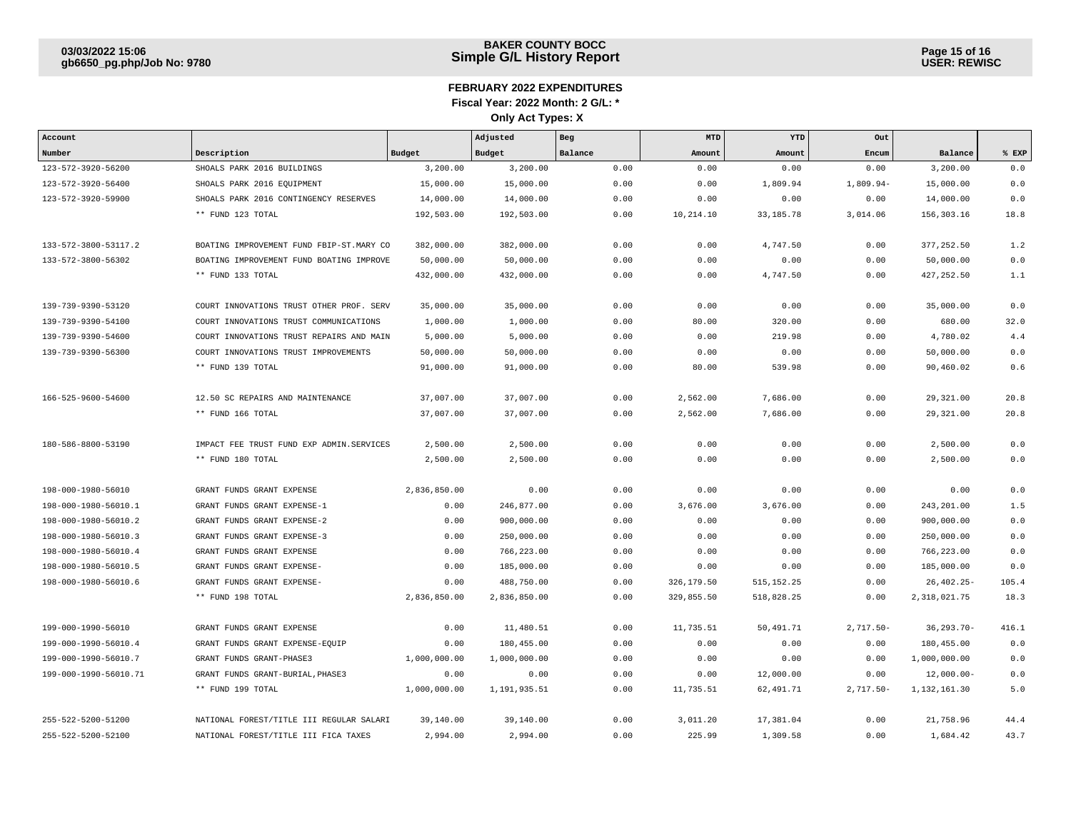| Account               |                                          |               | Adjusted     | Beg     | <b>MTD</b> | YTD         | Out          |                |       |
|-----------------------|------------------------------------------|---------------|--------------|---------|------------|-------------|--------------|----------------|-------|
| Number                | Description                              | <b>Budget</b> | Budget       | Balance | Amount     | Amount      | Encum        | Balance        | % EXP |
| 123-572-3920-56200    | SHOALS PARK 2016 BUILDINGS               | 3,200.00      | 3,200.00     | 0.00    | 0.00       | 0.00        | 0.00         | 3,200.00       | 0.0   |
| 123-572-3920-56400    | SHOALS PARK 2016 EQUIPMENT               | 15,000.00     | 15,000.00    | 0.00    | 0.00       | 1,809.94    | 1,809.94-    | 15,000.00      | 0.0   |
| 123-572-3920-59900    | SHOALS PARK 2016 CONTINGENCY RESERVES    | 14,000.00     | 14,000.00    | 0.00    | 0.00       | 0.00        | 0.00         | 14,000.00      | 0.0   |
|                       | ** FUND 123 TOTAL                        | 192,503.00    | 192,503.00   | 0.00    | 10,214.10  | 33, 185. 78 | 3,014.06     | 156,303.16     | 18.8  |
|                       |                                          |               |              |         |            |             |              |                |       |
| 133-572-3800-53117.2  | BOATING IMPROVEMENT FUND FBIP-ST.MARY CO | 382,000.00    | 382,000.00   | 0.00    | 0.00       | 4,747.50    | 0.00         | 377, 252.50    | 1.2   |
| 133-572-3800-56302    | BOATING IMPROVEMENT FUND BOATING IMPROVE | 50,000.00     | 50,000.00    | 0.00    | 0.00       | 0.00        | 0.00         | 50,000.00      | 0.0   |
|                       | ** FUND 133 TOTAL                        | 432,000.00    | 432,000.00   | 0.00    | 0.00       | 4,747.50    | 0.00         | 427, 252.50    | 1.1   |
|                       |                                          |               |              |         |            |             |              |                |       |
| 139-739-9390-53120    | COURT INNOVATIONS TRUST OTHER PROF. SERV | 35,000.00     | 35,000.00    | 0.00    | 0.00       | 0.00        | 0.00         | 35,000.00      | 0.0   |
| 139-739-9390-54100    | COURT INNOVATIONS TRUST COMMUNICATIONS   | 1,000.00      | 1,000.00     | 0.00    | 80.00      | 320.00      | 0.00         | 680.00         | 32.0  |
| 139-739-9390-54600    | COURT INNOVATIONS TRUST REPAIRS AND MAIN | 5,000.00      | 5,000.00     | 0.00    | 0.00       | 219.98      | 0.00         | 4,780.02       | 4.4   |
| 139-739-9390-56300    | COURT INNOVATIONS TRUST IMPROVEMENTS     | 50,000.00     | 50,000.00    | 0.00    | 0.00       | 0.00        | 0.00         | 50,000.00      | 0.0   |
|                       | ** FUND 139 TOTAL                        | 91,000.00     | 91,000.00    | 0.00    | 80.00      | 539.98      | 0.00         | 90,460.02      | 0.6   |
|                       |                                          |               |              |         |            |             |              |                |       |
| 166-525-9600-54600    | 12.50 SC REPAIRS AND MAINTENANCE         | 37,007.00     | 37,007.00    | 0.00    | 2,562.00   | 7,686.00    | 0.00         | 29,321.00      | 20.8  |
|                       | ** FUND 166 TOTAL                        | 37,007.00     | 37,007.00    | 0.00    | 2,562.00   | 7,686.00    | 0.00         | 29,321.00      | 20.8  |
|                       |                                          |               |              |         |            |             |              |                |       |
| 180-586-8800-53190    | IMPACT FEE TRUST FUND EXP ADMIN.SERVICES | 2,500.00      | 2,500.00     | 0.00    | 0.00       | 0.00        | 0.00         | 2,500.00       | 0.0   |
|                       | ** FUND 180 TOTAL                        | 2,500.00      | 2,500.00     | 0.00    | 0.00       | 0.00        | 0.00         | 2,500.00       | 0.0   |
|                       |                                          |               |              |         |            |             |              |                |       |
| 198-000-1980-56010    | GRANT FUNDS GRANT EXPENSE                | 2,836,850.00  | 0.00         | 0.00    | 0.00       | 0.00        | 0.00         | 0.00           | 0.0   |
| 198-000-1980-56010.1  | GRANT FUNDS GRANT EXPENSE-1              | 0.00          | 246,877.00   | 0.00    | 3,676.00   | 3,676.00    | 0.00         | 243, 201.00    | 1.5   |
| 198-000-1980-56010.2  | GRANT FUNDS GRANT EXPENSE-2              | 0.00          | 900,000.00   | 0.00    | 0.00       | 0.00        | 0.00         | 900,000.00     | 0.0   |
| 198-000-1980-56010.3  | GRANT FUNDS GRANT EXPENSE-3              | 0.00          | 250,000.00   | 0.00    | 0.00       | 0.00        | 0.00         | 250,000.00     | 0.0   |
| 198-000-1980-56010.4  | GRANT FUNDS GRANT EXPENSE                | 0.00          | 766,223.00   | 0.00    | 0.00       | 0.00        | 0.00         | 766,223.00     | 0.0   |
| 198-000-1980-56010.5  | GRANT FUNDS GRANT EXPENSE-               | 0.00          | 185,000.00   | 0.00    | 0.00       | 0.00        | 0.00         | 185,000.00     | 0.0   |
| 198-000-1980-56010.6  | GRANT FUNDS GRANT EXPENSE-               | 0.00          | 488,750.00   | 0.00    | 326,179.50 | 515, 152.25 | 0.00         | $26,402.25-$   | 105.4 |
|                       | ** FUND 198 TOTAL                        | 2,836,850.00  | 2,836,850.00 | 0.00    | 329,855.50 | 518,828.25  | 0.00         | 2,318,021.75   | 18.3  |
|                       |                                          |               |              |         |            |             |              |                |       |
| 199-000-1990-56010    | GRANT FUNDS GRANT EXPENSE                | 0.00          | 11,480.51    | 0.00    | 11,735.51  | 50,491.71   | $2,717.50 -$ | $36, 293.70 -$ | 416.1 |
| 199-000-1990-56010.4  | GRANT FUNDS GRANT EXPENSE-EQUIP          | 0.00          | 180,455.00   | 0.00    | 0.00       | 0.00        | 0.00         | 180,455.00     | 0.0   |
| 199-000-1990-56010.7  | GRANT FUNDS GRANT-PHASE3                 | 1,000,000.00  | 1,000,000.00 | 0.00    | 0.00       | 0.00        | 0.00         | 1,000,000.00   | 0.0   |
| 199-000-1990-56010.71 | GRANT FUNDS GRANT-BURIAL, PHASE3         | 0.00          | 0.00         | 0.00    | 0.00       | 12,000.00   | 0.00         | $12,000.00 -$  | 0.0   |
|                       | ** FUND 199 TOTAL                        | 1,000,000.00  | 1,191,935.51 | 0.00    | 11,735.51  | 62,491.71   | $2,717.50 -$ | 1,132,161.30   | 5.0   |
|                       |                                          |               |              |         |            |             |              |                |       |
| 255-522-5200-51200    | NATIONAL FOREST/TITLE III REGULAR SALARI | 39,140.00     | 39,140.00    | 0.00    | 3,011.20   | 17,381.04   | 0.00         | 21,758.96      | 44.4  |
| 255-522-5200-52100    | NATIONAL FOREST/TITLE III FICA TAXES     | 2,994.00      | 2,994.00     | 0.00    | 225.99     | 1,309.58    | 0.00         | 1,684.42       | 43.7  |